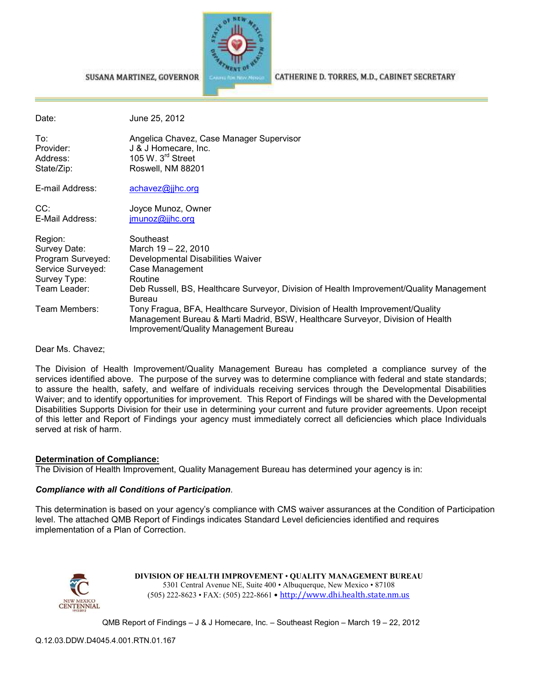

CATHERINE D. TORRES, M.D., CABINET SECRETARY

| Date:                                                                                                              | June 25, 2012                                                                                                                                                                                                                                                                                                                                                                                                               |
|--------------------------------------------------------------------------------------------------------------------|-----------------------------------------------------------------------------------------------------------------------------------------------------------------------------------------------------------------------------------------------------------------------------------------------------------------------------------------------------------------------------------------------------------------------------|
| To:<br>Provider:<br>Address:<br>State/Zip:                                                                         | Angelica Chavez, Case Manager Supervisor<br>J & J Homecare, Inc.<br>105 W. $3rd$ Street<br>Roswell, NM 88201                                                                                                                                                                                                                                                                                                                |
| E-mail Address:                                                                                                    | achavez@jjhc.org                                                                                                                                                                                                                                                                                                                                                                                                            |
| CC:<br>E-Mail Address:                                                                                             | Joyce Munoz, Owner<br>jmunoz@jjhc.org                                                                                                                                                                                                                                                                                                                                                                                       |
| Region:<br>Survey Date:<br>Program Surveyed:<br>Service Surveyed:<br>Survey Type:<br>Team Leader:<br>Team Members: | Southeast<br>March 19 - 22, 2010<br>Developmental Disabilities Waiver<br>Case Management<br>Routine<br>Deb Russell, BS, Healthcare Surveyor, Division of Health Improvement/Quality Management<br><b>Bureau</b><br>Tony Fragua, BFA, Healthcare Surveyor, Division of Health Improvement/Quality<br>Management Bureau & Marti Madrid, BSW, Healthcare Surveyor, Division of Health<br>Improvement/Quality Management Bureau |
| Dear Ms. Chavez:                                                                                                   |                                                                                                                                                                                                                                                                                                                                                                                                                             |

The Division of Health Improvement/Quality Management Bureau has completed a compliance survey of the services identified above. The purpose of the survey was to determine compliance with federal and state standards; to assure the health, safety, and welfare of individuals receiving services through the Developmental Disabilities Waiver; and to identify opportunities for improvement. This Report of Findings will be shared with the Developmental Disabilities Supports Division for their use in determining your current and future provider agreements. Upon receipt of this letter and Report of Findings your agency must immediately correct all deficiencies which place Individuals served at risk of harm.

#### **Determination of Compliance:**

The Division of Health Improvement, Quality Management Bureau has determined your agency is in:

#### *Compliance with all Conditions of Participation*.

SUSANA MARTINEZ, GOVERNOR

This determination is based on your agency's compliance with CMS waiver assurances at the Condition of Participation level. The attached QMB Report of Findings indicates Standard Level deficiencies identified and requires implementation of a Plan of Correction.



**DIVISION OF HEALTH IMPROVEMENT** • **QUALITY MANAGEMENT BUREAU** 5301 Central Avenue NE, Suite 400 • Albuquerque, New Mexico • 87108 (505) 222-8623 • FAX: (505) 222-8661 • http://www.dhi.health.state.nm.us

QMB Report of Findings – J & J Homecare, Inc. – Southeast Region – March 19 – 22, 2012

Q.12.03.DDW.D4045.4.001.RTN.01.167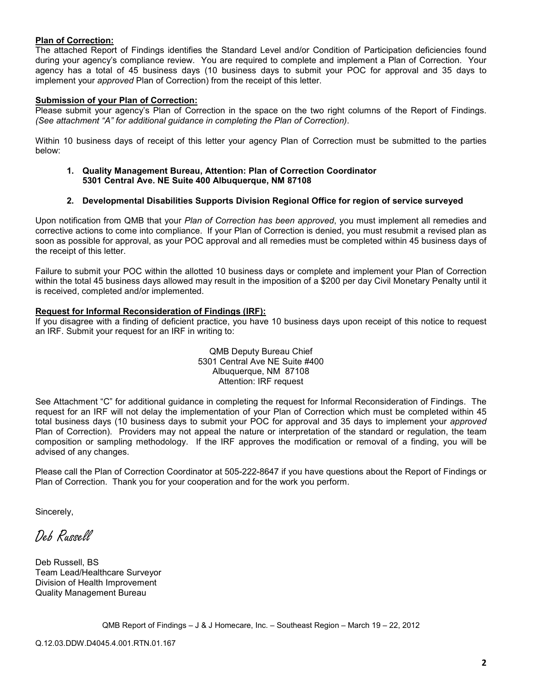### **Plan of Correction:**

The attached Report of Findings identifies the Standard Level and/or Condition of Participation deficiencies found during your agency's compliance review. You are required to complete and implement a Plan of Correction. Your agency has a total of 45 business days (10 business days to submit your POC for approval and 35 days to implement your *approved* Plan of Correction) from the receipt of this letter.

### **Submission of your Plan of Correction:**

Please submit your agency's Plan of Correction in the space on the two right columns of the Report of Findings. *(See attachment "A" for additional guidance in completing the Plan of Correction)*.

Within 10 business days of receipt of this letter your agency Plan of Correction must be submitted to the parties below:

**1. Quality Management Bureau, Attention: Plan of Correction Coordinator 5301 Central Ave. NE Suite 400 Albuquerque, NM 87108** 

### **2. Developmental Disabilities Supports Division Regional Office for region of service surveyed**

Upon notification from QMB that your *Plan of Correction has been approved*, you must implement all remedies and corrective actions to come into compliance. If your Plan of Correction is denied, you must resubmit a revised plan as soon as possible for approval, as your POC approval and all remedies must be completed within 45 business days of the receipt of this letter.

Failure to submit your POC within the allotted 10 business days or complete and implement your Plan of Correction within the total 45 business days allowed may result in the imposition of a \$200 per day Civil Monetary Penalty until it is received, completed and/or implemented.

#### **Request for Informal Reconsideration of Findings (IRF):**

If you disagree with a finding of deficient practice, you have 10 business days upon receipt of this notice to request an IRF. Submit your request for an IRF in writing to:

> QMB Deputy Bureau Chief 5301 Central Ave NE Suite #400 Albuquerque, NM 87108 Attention: IRF request

See Attachment "C" for additional guidance in completing the request for Informal Reconsideration of Findings. The request for an IRF will not delay the implementation of your Plan of Correction which must be completed within 45 total business days (10 business days to submit your POC for approval and 35 days to implement your *approved* Plan of Correction). Providers may not appeal the nature or interpretation of the standard or regulation, the team composition or sampling methodology. If the IRF approves the modification or removal of a finding, you will be advised of any changes.

Please call the Plan of Correction Coordinator at 505-222-8647 if you have questions about the Report of Findings or Plan of Correction. Thank you for your cooperation and for the work you perform.

Sincerely,

Deb Russell

Deb Russell, BS Team Lead/Healthcare Surveyor Division of Health Improvement Quality Management Bureau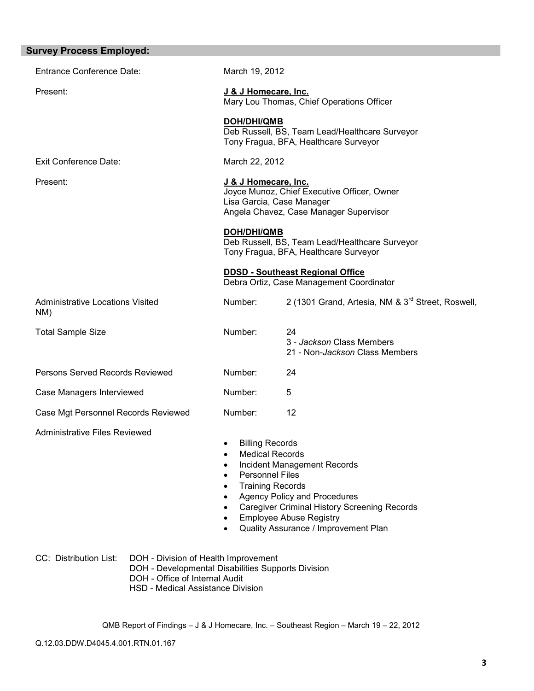| <b>Survey Process Employed:</b>                                                                                      |                                                                                                                                                                             |                                                                                                                                                                                                     |
|----------------------------------------------------------------------------------------------------------------------|-----------------------------------------------------------------------------------------------------------------------------------------------------------------------------|-----------------------------------------------------------------------------------------------------------------------------------------------------------------------------------------------------|
| <b>Entrance Conference Date:</b>                                                                                     | March 19, 2012                                                                                                                                                              |                                                                                                                                                                                                     |
| Present:                                                                                                             | J & J Homecare, Inc.                                                                                                                                                        | Mary Lou Thomas, Chief Operations Officer                                                                                                                                                           |
|                                                                                                                      | <b>DOH/DHI/QMB</b>                                                                                                                                                          | Deb Russell, BS, Team Lead/Healthcare Surveyor<br>Tony Fragua, BFA, Healthcare Surveyor                                                                                                             |
| <b>Exit Conference Date:</b>                                                                                         | March 22, 2012                                                                                                                                                              |                                                                                                                                                                                                     |
| Present:                                                                                                             | J & J Homecare, Inc.                                                                                                                                                        | Joyce Munoz, Chief Executive Officer, Owner<br>Lisa Garcia, Case Manager<br>Angela Chavez, Case Manager Supervisor                                                                                  |
|                                                                                                                      | <b>DOH/DHI/QMB</b>                                                                                                                                                          | Deb Russell, BS, Team Lead/Healthcare Surveyor<br>Tony Fragua, BFA, Healthcare Surveyor                                                                                                             |
|                                                                                                                      |                                                                                                                                                                             | <b>DDSD - Southeast Regional Office</b><br>Debra Ortiz, Case Management Coordinator                                                                                                                 |
| <b>Administrative Locations Visited</b><br>NM)                                                                       | Number:                                                                                                                                                                     | 2 (1301 Grand, Artesia, NM & 3rd Street, Roswell,                                                                                                                                                   |
| <b>Total Sample Size</b>                                                                                             | Number:                                                                                                                                                                     | 24<br>3 - Jackson Class Members<br>21 - Non-Jackson Class Members                                                                                                                                   |
| Persons Served Records Reviewed                                                                                      | Number:                                                                                                                                                                     | 24                                                                                                                                                                                                  |
| Case Managers Interviewed                                                                                            | Number:                                                                                                                                                                     | 5                                                                                                                                                                                                   |
| Case Mgt Personnel Records Reviewed                                                                                  | Number:                                                                                                                                                                     | 12                                                                                                                                                                                                  |
| <b>Administrative Files Reviewed</b>                                                                                 | <b>Billing Records</b><br><b>Medical Records</b><br>٠<br><b>Personnel Files</b><br>$\bullet$<br><b>Training Records</b><br>$\bullet$<br>$\bullet$<br>$\bullet$<br>$\bullet$ | Incident Management Records<br><b>Agency Policy and Procedures</b><br><b>Caregiver Criminal History Screening Records</b><br><b>Employee Abuse Registry</b><br>Quality Assurance / Improvement Plan |
| CC: Distribution List:<br>DOH - Division of Health Improvement<br>DOH - Developmental Disabilities Supports Division |                                                                                                                                                                             |                                                                                                                                                                                                     |

- DOH Office of Internal Audit
- HSD Medical Assistance Division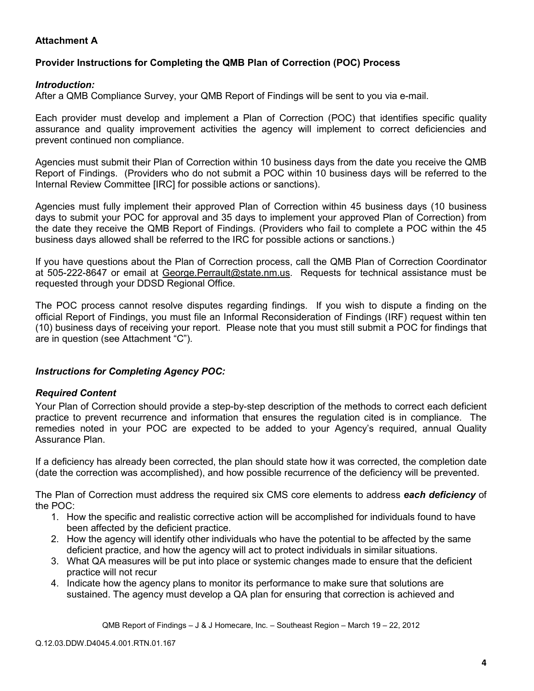# **Attachment A**

# **Provider Instructions for Completing the QMB Plan of Correction (POC) Process**

# *Introduction:*

After a QMB Compliance Survey, your QMB Report of Findings will be sent to you via e-mail.

Each provider must develop and implement a Plan of Correction (POC) that identifies specific quality assurance and quality improvement activities the agency will implement to correct deficiencies and prevent continued non compliance.

Agencies must submit their Plan of Correction within 10 business days from the date you receive the QMB Report of Findings. (Providers who do not submit a POC within 10 business days will be referred to the Internal Review Committee [IRC] for possible actions or sanctions).

Agencies must fully implement their approved Plan of Correction within 45 business days (10 business days to submit your POC for approval and 35 days to implement your approved Plan of Correction) from the date they receive the QMB Report of Findings. (Providers who fail to complete a POC within the 45 business days allowed shall be referred to the IRC for possible actions or sanctions.)

If you have questions about the Plan of Correction process, call the QMB Plan of Correction Coordinator at 505-222-8647 or email at George. Perrault@state.nm.us. Requests for technical assistance must be requested through your DDSD Regional Office.

The POC process cannot resolve disputes regarding findings. If you wish to dispute a finding on the official Report of Findings, you must file an Informal Reconsideration of Findings (IRF) request within ten (10) business days of receiving your report. Please note that you must still submit a POC for findings that are in question (see Attachment "C").

# *Instructions for Completing Agency POC:*

# *Required Content*

Your Plan of Correction should provide a step-by-step description of the methods to correct each deficient practice to prevent recurrence and information that ensures the regulation cited is in compliance. The remedies noted in your POC are expected to be added to your Agency's required, annual Quality Assurance Plan.

If a deficiency has already been corrected, the plan should state how it was corrected, the completion date (date the correction was accomplished), and how possible recurrence of the deficiency will be prevented.

The Plan of Correction must address the required six CMS core elements to address *each deficiency* of the POC:

- 1. How the specific and realistic corrective action will be accomplished for individuals found to have been affected by the deficient practice.
- 2. How the agency will identify other individuals who have the potential to be affected by the same deficient practice, and how the agency will act to protect individuals in similar situations.
- 3. What QA measures will be put into place or systemic changes made to ensure that the deficient practice will not recur
- 4. Indicate how the agency plans to monitor its performance to make sure that solutions are sustained. The agency must develop a QA plan for ensuring that correction is achieved and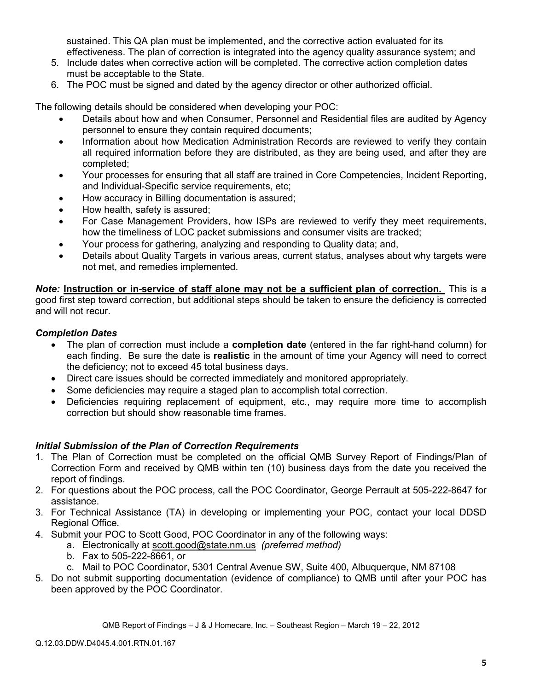sustained. This QA plan must be implemented, and the corrective action evaluated for its effectiveness. The plan of correction is integrated into the agency quality assurance system; and

- 5. Include dates when corrective action will be completed. The corrective action completion dates must be acceptable to the State.
- 6. The POC must be signed and dated by the agency director or other authorized official.

The following details should be considered when developing your POC:

- Details about how and when Consumer, Personnel and Residential files are audited by Agency personnel to ensure they contain required documents;
- Information about how Medication Administration Records are reviewed to verify they contain all required information before they are distributed, as they are being used, and after they are completed;
- Your processes for ensuring that all staff are trained in Core Competencies, Incident Reporting, and Individual-Specific service requirements, etc;
- How accuracy in Billing documentation is assured;
- How health, safety is assured;
- For Case Management Providers, how ISPs are reviewed to verify they meet requirements, how the timeliness of LOC packet submissions and consumer visits are tracked;
- Your process for gathering, analyzing and responding to Quality data; and,
- Details about Quality Targets in various areas, current status, analyses about why targets were not met, and remedies implemented.

*Note:* **Instruction or in-service of staff alone may not be a sufficient plan of correction.** This is a good first step toward correction, but additional steps should be taken to ensure the deficiency is corrected and will not recur.

# *Completion Dates*

- The plan of correction must include a **completion date** (entered in the far right-hand column) for each finding. Be sure the date is **realistic** in the amount of time your Agency will need to correct the deficiency; not to exceed 45 total business days.
- Direct care issues should be corrected immediately and monitored appropriately.
- Some deficiencies may require a staged plan to accomplish total correction.
- Deficiencies requiring replacement of equipment, etc., may require more time to accomplish correction but should show reasonable time frames.

# *Initial Submission of the Plan of Correction Requirements*

- 1. The Plan of Correction must be completed on the official QMB Survey Report of Findings/Plan of Correction Form and received by QMB within ten (10) business days from the date you received the report of findings.
- 2. For questions about the POC process, call the POC Coordinator, George Perrault at 505-222-8647 for assistance.
- 3. For Technical Assistance (TA) in developing or implementing your POC, contact your local DDSD Regional Office.
- 4. Submit your POC to Scott Good, POC Coordinator in any of the following ways:
	- a. Electronically at scott.good@state.nm.us *(preferred method)*
	- b. Fax to 505-222-8661, or
	- c. Mail to POC Coordinator, 5301 Central Avenue SW, Suite 400, Albuquerque, NM 87108
- 5. Do not submit supporting documentation (evidence of compliance) to QMB until after your POC has been approved by the POC Coordinator.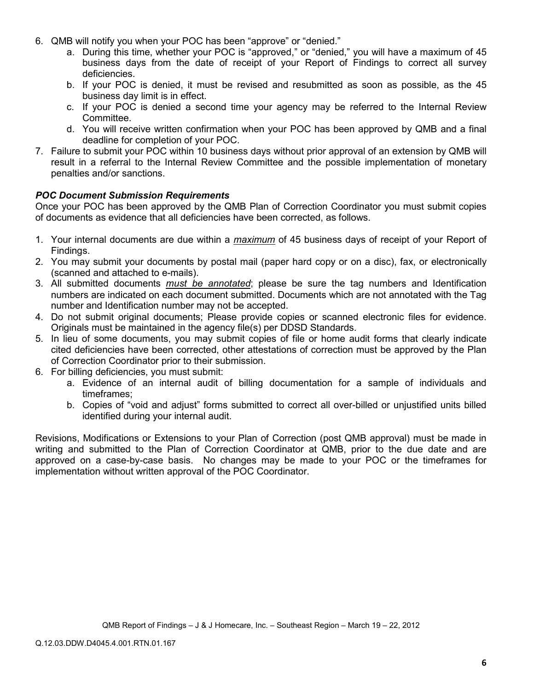- 6. QMB will notify you when your POC has been "approve" or "denied."
	- a. During this time, whether your POC is "approved," or "denied," you will have a maximum of 45 business days from the date of receipt of your Report of Findings to correct all survey deficiencies.
	- b. If your POC is denied, it must be revised and resubmitted as soon as possible, as the 45 business day limit is in effect.
	- c. If your POC is denied a second time your agency may be referred to the Internal Review Committee.
	- d. You will receive written confirmation when your POC has been approved by QMB and a final deadline for completion of your POC.
- 7. Failure to submit your POC within 10 business days without prior approval of an extension by QMB will result in a referral to the Internal Review Committee and the possible implementation of monetary penalties and/or sanctions.

## *POC Document Submission Requirements*

Once your POC has been approved by the QMB Plan of Correction Coordinator you must submit copies of documents as evidence that all deficiencies have been corrected, as follows.

- 1. Your internal documents are due within a *maximum* of 45 business days of receipt of your Report of Findings.
- 2. You may submit your documents by postal mail (paper hard copy or on a disc), fax, or electronically (scanned and attached to e-mails).
- 3. All submitted documents *must be annotated*; please be sure the tag numbers and Identification numbers are indicated on each document submitted. Documents which are not annotated with the Tag number and Identification number may not be accepted.
- 4. Do not submit original documents; Please provide copies or scanned electronic files for evidence. Originals must be maintained in the agency file(s) per DDSD Standards.
- 5. In lieu of some documents, you may submit copies of file or home audit forms that clearly indicate cited deficiencies have been corrected, other attestations of correction must be approved by the Plan of Correction Coordinator prior to their submission.
- 6. For billing deficiencies, you must submit:
	- a. Evidence of an internal audit of billing documentation for a sample of individuals and timeframes;
	- b. Copies of "void and adjust" forms submitted to correct all over-billed or unjustified units billed identified during your internal audit.

Revisions, Modifications or Extensions to your Plan of Correction (post QMB approval) must be made in writing and submitted to the Plan of Correction Coordinator at QMB, prior to the due date and are approved on a case-by-case basis. No changes may be made to your POC or the timeframes for implementation without written approval of the POC Coordinator.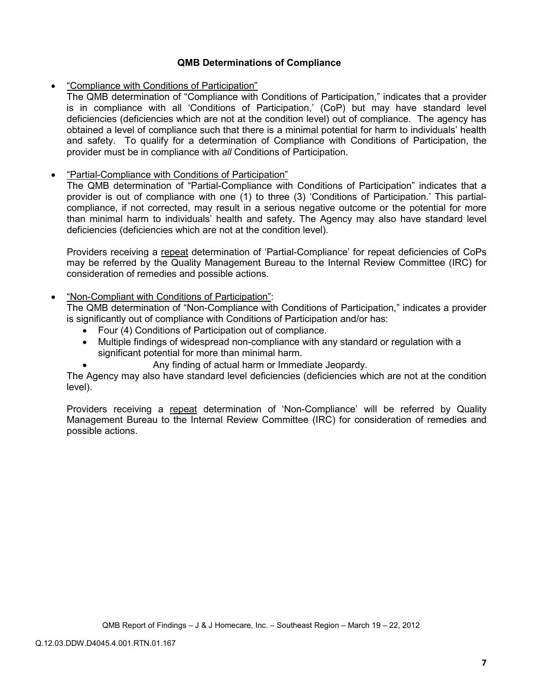# **QMB Determinations of Compliance**

• "Compliance with Conditions of Participation"

The QMB determination of "Compliance with Conditions of Participation," indicates that a provider is in compliance with all 'Conditions of Participation,' (CoP) but may have standard level deficiencies (deficiencies which are not at the condition level) out of compliance. The agency has obtained a level of compliance such that there is a minimal potential for harm to individuals' health and safety. To qualify for a determination of Compliance with Conditions of Participation, the provider must be in compliance with *all* Conditions of Participation.

• "Partial-Compliance with Conditions of Participation"

The QMB determination of "Partial-Compliance with Conditions of Participation" indicates that a provider is out of compliance with one (1) to three (3) 'Conditions of Participation.' This partialcompliance, if not corrected, may result in a serious negative outcome or the potential for more than minimal harm to individuals' health and safety. The Agency may also have standard level deficiencies (deficiencies which are not at the condition level).

Providers receiving a repeat determination of 'Partial-Compliance' for repeat deficiencies of CoPs may be referred by the Quality Management Bureau to the Internal Review Committee (IRC) for consideration of remedies and possible actions.

# • "Non-Compliant with Conditions of Participation":

The QMB determination of "Non-Compliance with Conditions of Participation," indicates a provider is significantly out of compliance with Conditions of Participation and/or has:

- Four (4) Conditions of Participation out of compliance.
- Multiple findings of widespread non-compliance with any standard or regulation with a significant potential for more than minimal harm.
	- Any finding of actual harm or Immediate Jeopardy.

The Agency may also have standard level deficiencies (deficiencies which are not at the condition level).

Providers receiving a repeat determination of 'Non-Compliance' will be referred by Quality Management Bureau to the Internal Review Committee (IRC) for consideration of remedies and possible actions.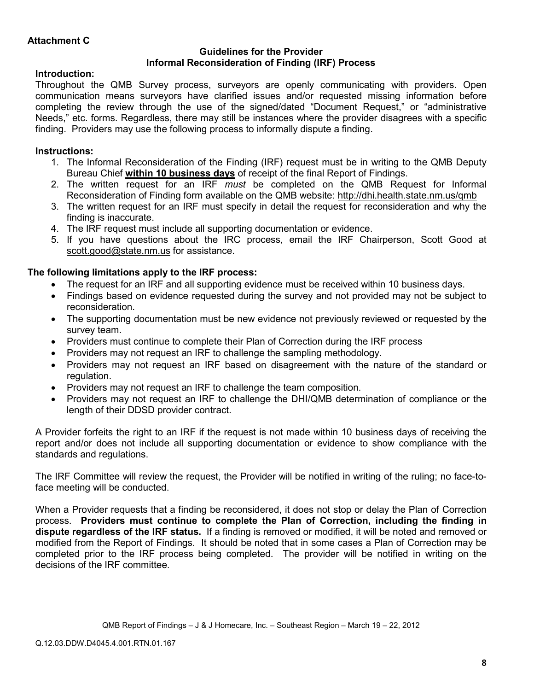## **Guidelines for the Provider Informal Reconsideration of Finding (IRF) Process**

# **Introduction:**

Throughout the QMB Survey process, surveyors are openly communicating with providers. Open communication means surveyors have clarified issues and/or requested missing information before completing the review through the use of the signed/dated "Document Request," or "administrative Needs," etc. forms. Regardless, there may still be instances where the provider disagrees with a specific finding. Providers may use the following process to informally dispute a finding.

# **Instructions:**

- 1. The Informal Reconsideration of the Finding (IRF) request must be in writing to the QMB Deputy Bureau Chief **within 10 business days** of receipt of the final Report of Findings.
- 2. The written request for an IRF *must* be completed on the QMB Request for Informal Reconsideration of Finding form available on the QMB website: http://dhi.health.state.nm.us/qmb
- 3. The written request for an IRF must specify in detail the request for reconsideration and why the finding is inaccurate.
- 4. The IRF request must include all supporting documentation or evidence.
- 5. If you have questions about the IRC process, email the IRF Chairperson, Scott Good at scott.good@state.nm.us for assistance.

# **The following limitations apply to the IRF process:**

- The request for an IRF and all supporting evidence must be received within 10 business days.
- Findings based on evidence requested during the survey and not provided may not be subject to reconsideration.
- The supporting documentation must be new evidence not previously reviewed or requested by the survey team.
- Providers must continue to complete their Plan of Correction during the IRF process
- Providers may not request an IRF to challenge the sampling methodology.
- Providers may not request an IRF based on disagreement with the nature of the standard or regulation.
- Providers may not request an IRF to challenge the team composition.
- Providers may not request an IRF to challenge the DHI/QMB determination of compliance or the length of their DDSD provider contract.

A Provider forfeits the right to an IRF if the request is not made within 10 business days of receiving the report and/or does not include all supporting documentation or evidence to show compliance with the standards and regulations.

The IRF Committee will review the request, the Provider will be notified in writing of the ruling; no face-toface meeting will be conducted.

When a Provider requests that a finding be reconsidered, it does not stop or delay the Plan of Correction process. **Providers must continue to complete the Plan of Correction, including the finding in dispute regardless of the IRF status.** If a finding is removed or modified, it will be noted and removed or modified from the Report of Findings. It should be noted that in some cases a Plan of Correction may be completed prior to the IRF process being completed. The provider will be notified in writing on the decisions of the IRF committee.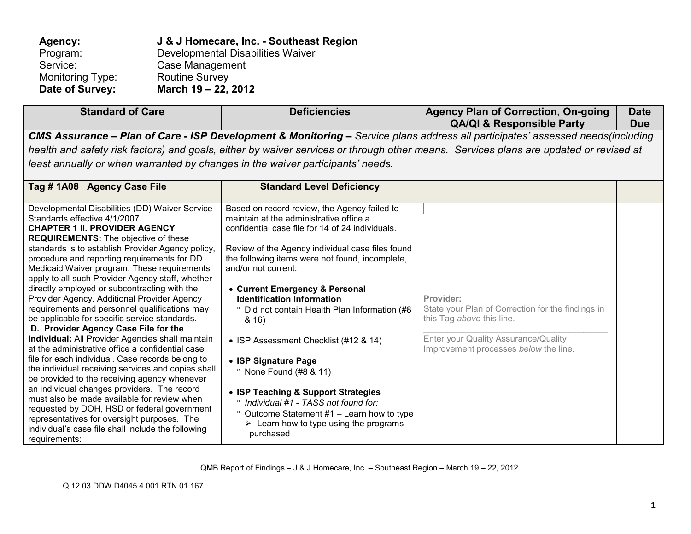| Agency:          | J & J Homecare, Inc. - Southeast Region |
|------------------|-----------------------------------------|
| Program:         | Developmental Disabilities Waiver       |
| Service:         | Case Management                         |
| Monitoring Type: | <b>Routine Survey</b>                   |
| Date of Survey:  | March 19 - 22, 2012                     |

| <b>Standard of Care</b>                                                                                                                                                                                                                                                   | <b>Deficiencies</b>                                                                                                                                                                                                                                | <b>Agency Plan of Correction, On-going</b><br><b>QA/QI &amp; Responsible Party</b>                                                    | <b>Date</b><br><b>Due</b> |
|---------------------------------------------------------------------------------------------------------------------------------------------------------------------------------------------------------------------------------------------------------------------------|----------------------------------------------------------------------------------------------------------------------------------------------------------------------------------------------------------------------------------------------------|---------------------------------------------------------------------------------------------------------------------------------------|---------------------------|
|                                                                                                                                                                                                                                                                           |                                                                                                                                                                                                                                                    | CMS Assurance - Plan of Care - ISP Development & Monitoring - Service plans address all participates' assessed needs(including        |                           |
|                                                                                                                                                                                                                                                                           |                                                                                                                                                                                                                                                    | health and safety risk factors) and goals, either by waiver services or through other means. Services plans are updated or revised at |                           |
| least annually or when warranted by changes in the waiver participants' needs.                                                                                                                                                                                            |                                                                                                                                                                                                                                                    |                                                                                                                                       |                           |
| Tag # 1A08 Agency Case File                                                                                                                                                                                                                                               | <b>Standard Level Deficiency</b>                                                                                                                                                                                                                   |                                                                                                                                       |                           |
| Developmental Disabilities (DD) Waiver Service<br>Standards effective 4/1/2007<br><b>CHAPTER 1 II. PROVIDER AGENCY</b><br><b>REQUIREMENTS:</b> The objective of these<br>standards is to establish Provider Agency policy,<br>procedure and reporting requirements for DD | Based on record review, the Agency failed to<br>maintain at the administrative office a<br>confidential case file for 14 of 24 individuals.<br>Review of the Agency individual case files found<br>the following items were not found, incomplete, |                                                                                                                                       |                           |
| Medicaid Waiver program. These requirements<br>apply to all such Provider Agency staff, whether<br>directly employed or subcontracting with the                                                                                                                           | and/or not current:<br>• Current Emergency & Personal                                                                                                                                                                                              |                                                                                                                                       |                           |
| Provider Agency. Additional Provider Agency<br>requirements and personnel qualifications may<br>be applicable for specific service standards.<br>D. Provider Agency Case File for the                                                                                     | <b>Identification Information</b><br><sup>o</sup> Did not contain Health Plan Information (#8<br>8, 16)                                                                                                                                            | Provider:<br>State your Plan of Correction for the findings in<br>this Tag above this line.                                           |                           |
| <b>Individual:</b> All Provider Agencies shall maintain<br>at the administrative office a confidential case                                                                                                                                                               | • ISP Assessment Checklist (#12 & 14)                                                                                                                                                                                                              | Enter your Quality Assurance/Quality<br>Improvement processes below the line.                                                         |                           |
| file for each individual. Case records belong to                                                                                                                                                                                                                          | • ISP Signature Page                                                                                                                                                                                                                               |                                                                                                                                       |                           |

 the individual receiving services and copies shall be provided to the receiving agency whenever an individual changes providers. The record must also be made available for review when requested by DOH, HSD or federal government representatives for oversight purposes. The individual's case file shall include the following requirements: **ISP Signature Page**  ° None Found (#8 & 11) • **ISP Teaching & Support Strategies**  ° *Individual #1 - TASS not found for:*  ° Outcome Statement #1 – Learn how to type  $\triangleright$  Learn how to type using the programs purchased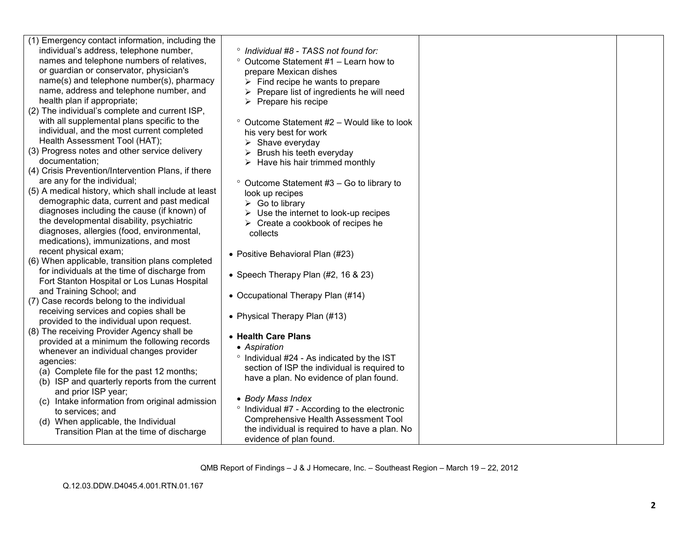| (1) Emergency contact information, including the    |                                                           |  |
|-----------------------------------------------------|-----------------------------------------------------------|--|
| individual's address, telephone number,             | ° Individual #8 - TASS not found for:                     |  |
| names and telephone numbers of relatives,           | $\degree$ Outcome Statement #1 - Learn how to             |  |
| or guardian or conservator, physician's             | prepare Mexican dishes                                    |  |
| name(s) and telephone number(s), pharmacy           | $\triangleright$ Find recipe he wants to prepare          |  |
| name, address and telephone number, and             | $\triangleright$ Prepare list of ingredients he will need |  |
| health plan if appropriate;                         | $\triangleright$ Prepare his recipe                       |  |
| (2) The individual's complete and current ISP,      |                                                           |  |
| with all supplemental plans specific to the         | ° Outcome Statement #2 - Would like to look               |  |
| individual, and the most current completed          | his very best for work                                    |  |
| Health Assessment Tool (HAT);                       | $\triangleright$ Shave everyday                           |  |
| (3) Progress notes and other service delivery       | $\triangleright$ Brush his teeth everyday                 |  |
| documentation:                                      | $\triangleright$ Have his hair trimmed monthly            |  |
| (4) Crisis Prevention/Intervention Plans, if there  |                                                           |  |
| are any for the individual;                         | $\degree$ Outcome Statement #3 - Go to library to         |  |
| (5) A medical history, which shall include at least | look up recipes                                           |  |
| demographic data, current and past medical          | $\triangleright$ Go to library                            |  |
| diagnoses including the cause (if known) of         | $\triangleright$ Use the internet to look-up recipes      |  |
| the developmental disability, psychiatric           | $\triangleright$ Create a cookbook of recipes he          |  |
| diagnoses, allergies (food, environmental,          | collects                                                  |  |
| medications), immunizations, and most               |                                                           |  |
| recent physical exam;                               | • Positive Behavioral Plan (#23)                          |  |
| (6) When applicable, transition plans completed     |                                                           |  |
| for individuals at the time of discharge from       | • Speech Therapy Plan (#2, 16 & 23)                       |  |
| Fort Stanton Hospital or Los Lunas Hospital         |                                                           |  |
| and Training School; and                            | • Occupational Therapy Plan (#14)                         |  |
| (7) Case records belong to the individual           |                                                           |  |
| receiving services and copies shall be              |                                                           |  |
| provided to the individual upon request.            | • Physical Therapy Plan (#13)                             |  |
| (8) The receiving Provider Agency shall be          |                                                           |  |
| provided at a minimum the following records         | • Health Care Plans                                       |  |
| whenever an individual changes provider             | • Aspiration                                              |  |
| agencies:                                           | ° Individual #24 - As indicated by the IST                |  |
| (a) Complete file for the past 12 months;           | section of ISP the individual is required to              |  |
| (b) ISP and quarterly reports from the current      | have a plan. No evidence of plan found.                   |  |
| and prior ISP year;                                 |                                                           |  |
| (c) Intake information from original admission      | • Body Mass Index                                         |  |
| to services; and                                    | <sup>o</sup> Individual #7 - According to the electronic  |  |
| (d) When applicable, the Individual                 | <b>Comprehensive Health Assessment Tool</b>               |  |
| Transition Plan at the time of discharge            | the individual is required to have a plan. No             |  |
|                                                     | evidence of plan found.                                   |  |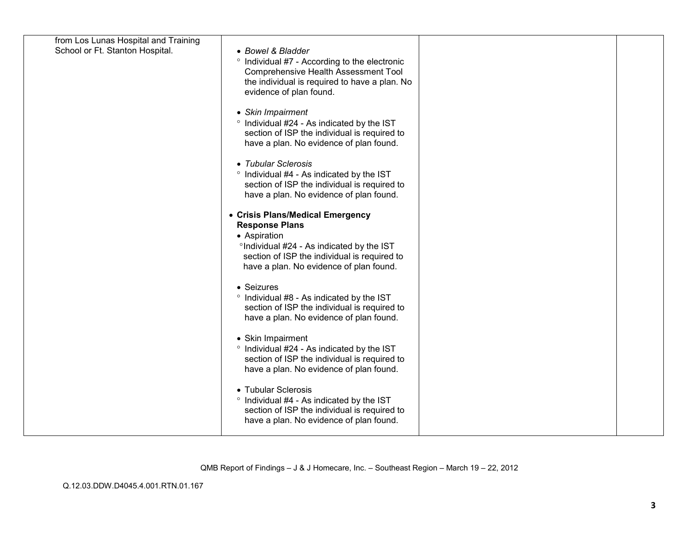| from Los Lunas Hospital and Training |                                                          |  |
|--------------------------------------|----------------------------------------------------------|--|
| School or Ft. Stanton Hospital.      | • Bowel & Bladder                                        |  |
|                                      | <sup>o</sup> Individual #7 - According to the electronic |  |
|                                      | Comprehensive Health Assessment Tool                     |  |
|                                      | the individual is required to have a plan. No            |  |
|                                      | evidence of plan found.                                  |  |
|                                      |                                                          |  |
|                                      | • Skin Impairment                                        |  |
|                                      | ° Individual #24 - As indicated by the IST               |  |
|                                      | section of ISP the individual is required to             |  |
|                                      | have a plan. No evidence of plan found.                  |  |
|                                      | • Tubular Sclerosis                                      |  |
|                                      | ° Individual #4 - As indicated by the IST                |  |
|                                      | section of ISP the individual is required to             |  |
|                                      | have a plan. No evidence of plan found.                  |  |
|                                      |                                                          |  |
|                                      | • Crisis Plans/Medical Emergency                         |  |
|                                      | <b>Response Plans</b>                                    |  |
|                                      | • Aspiration                                             |  |
|                                      | °Individual #24 - As indicated by the IST                |  |
|                                      | section of ISP the individual is required to             |  |
|                                      | have a plan. No evidence of plan found.                  |  |
|                                      | • Seizures                                               |  |
|                                      | ° Individual #8 - As indicated by the IST                |  |
|                                      | section of ISP the individual is required to             |  |
|                                      | have a plan. No evidence of plan found.                  |  |
|                                      |                                                          |  |
|                                      | • Skin Impairment                                        |  |
|                                      | ° Individual #24 - As indicated by the IST               |  |
|                                      | section of ISP the individual is required to             |  |
|                                      | have a plan. No evidence of plan found.                  |  |
|                                      | • Tubular Sclerosis                                      |  |
|                                      | ° Individual #4 - As indicated by the IST                |  |
|                                      | section of ISP the individual is required to             |  |
|                                      | have a plan. No evidence of plan found.                  |  |
|                                      |                                                          |  |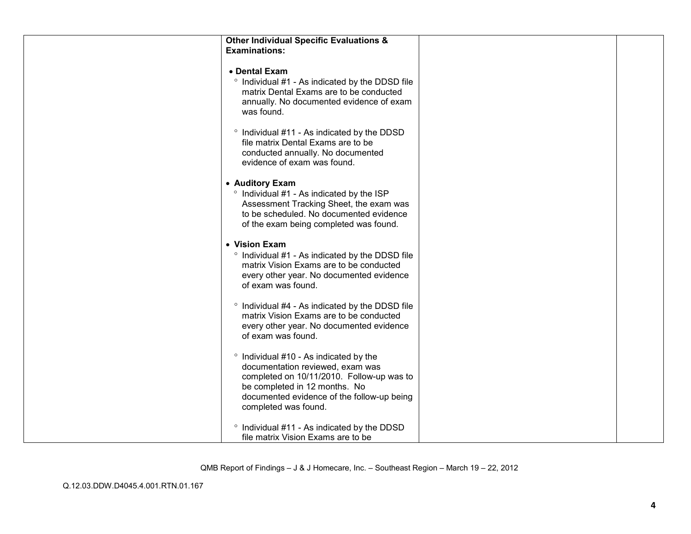| <b>Other Individual Specific Evaluations &amp;</b>             |  |
|----------------------------------------------------------------|--|
| <b>Examinations:</b>                                           |  |
|                                                                |  |
| • Dental Exam                                                  |  |
| ° Individual #1 - As indicated by the DDSD file                |  |
| matrix Dental Exams are to be conducted                        |  |
| annually. No documented evidence of exam                       |  |
| was found.                                                     |  |
|                                                                |  |
| <sup>o</sup> Individual #11 - As indicated by the DDSD         |  |
| file matrix Dental Exams are to be                             |  |
| conducted annually. No documented                              |  |
| evidence of exam was found.                                    |  |
| • Auditory Exam                                                |  |
| ° Individual #1 - As indicated by the ISP                      |  |
| Assessment Tracking Sheet, the exam was                        |  |
| to be scheduled. No documented evidence                        |  |
| of the exam being completed was found.                         |  |
|                                                                |  |
| • Vision Exam                                                  |  |
| ° Individual #1 - As indicated by the DDSD file                |  |
| matrix Vision Exams are to be conducted                        |  |
| every other year. No documented evidence                       |  |
| of exam was found.                                             |  |
|                                                                |  |
| ° Individual #4 - As indicated by the DDSD file                |  |
| matrix Vision Exams are to be conducted                        |  |
| every other year. No documented evidence<br>of exam was found. |  |
|                                                                |  |
| ° Individual #10 - As indicated by the                         |  |
| documentation reviewed, exam was                               |  |
| completed on 10/11/2010. Follow-up was to                      |  |
| be completed in 12 months. No                                  |  |
| documented evidence of the follow-up being                     |  |
| completed was found.                                           |  |
|                                                                |  |
| <sup>o</sup> Individual #11 - As indicated by the DDSD         |  |
| file matrix Vision Exams are to be                             |  |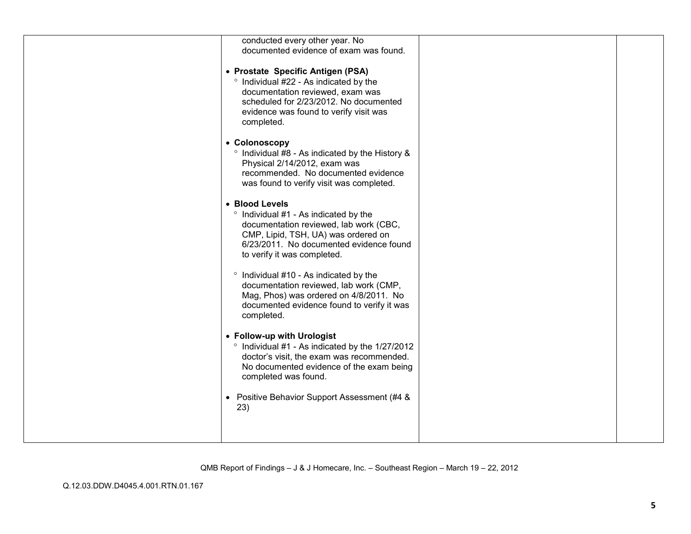| conducted every other year. No<br>documented evidence of exam was found.                                                                                                                                           |  |
|--------------------------------------------------------------------------------------------------------------------------------------------------------------------------------------------------------------------|--|
| • Prostate Specific Antigen (PSA)<br>° Individual #22 - As indicated by the<br>documentation reviewed, exam was<br>scheduled for 2/23/2012. No documented<br>evidence was found to verify visit was<br>completed.  |  |
| • Colonoscopy<br>° Individual #8 - As indicated by the History &<br>Physical 2/14/2012, exam was<br>recommended. No documented evidence<br>was found to verify visit was completed.                                |  |
| • Blood Levels<br>° Individual #1 - As indicated by the<br>documentation reviewed, lab work (CBC,<br>CMP, Lipid, TSH, UA) was ordered on<br>6/23/2011. No documented evidence found<br>to verify it was completed. |  |
| ° Individual #10 - As indicated by the<br>documentation reviewed, lab work (CMP,<br>Mag, Phos) was ordered on 4/8/2011. No<br>documented evidence found to verify it was<br>completed.                             |  |
| • Follow-up with Urologist<br>° Individual #1 - As indicated by the 1/27/2012<br>doctor's visit, the exam was recommended.<br>No documented evidence of the exam being<br>completed was found.                     |  |
| • Positive Behavior Support Assessment (#4 &<br>23)                                                                                                                                                                |  |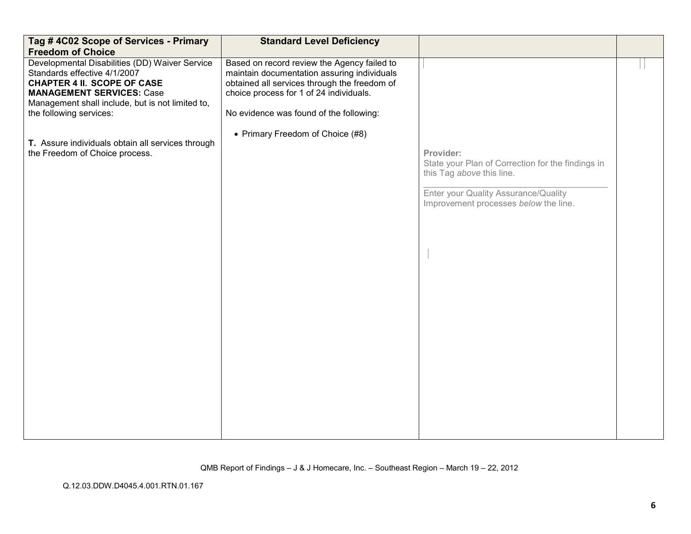| Tag #4C02 Scope of Services - Primary<br><b>Freedom of Choice</b>                                                                                                                                                                       | <b>Standard Level Deficiency</b>                                                                                                                                                                                                 |                                                                                                                                                                              |  |
|-----------------------------------------------------------------------------------------------------------------------------------------------------------------------------------------------------------------------------------------|----------------------------------------------------------------------------------------------------------------------------------------------------------------------------------------------------------------------------------|------------------------------------------------------------------------------------------------------------------------------------------------------------------------------|--|
| Developmental Disabilities (DD) Waiver Service<br>Standards effective 4/1/2007<br><b>CHAPTER 4 II. SCOPE OF CASE</b><br><b>MANAGEMENT SERVICES: Case</b><br>Management shall include, but is not limited to,<br>the following services: | Based on record review the Agency failed to<br>maintain documentation assuring individuals<br>obtained all services through the freedom of<br>choice process for 1 of 24 individuals.<br>No evidence was found of the following: |                                                                                                                                                                              |  |
| T. Assure individuals obtain all services through<br>the Freedom of Choice process.                                                                                                                                                     | • Primary Freedom of Choice (#8)                                                                                                                                                                                                 | Provider:<br>State your Plan of Correction for the findings in<br>this Tag above this line.<br>Enter your Quality Assurance/Quality<br>Improvement processes below the line. |  |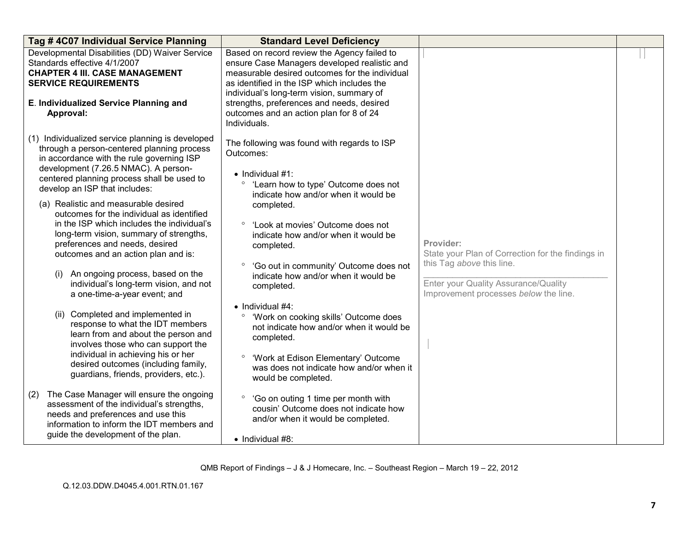| Tag #4C07 Individual Service Planning                                                                                                                                                                                                               | <b>Standard Level Deficiency</b>                                                                                                                                                                                                          |                                                                                                            |  |
|-----------------------------------------------------------------------------------------------------------------------------------------------------------------------------------------------------------------------------------------------------|-------------------------------------------------------------------------------------------------------------------------------------------------------------------------------------------------------------------------------------------|------------------------------------------------------------------------------------------------------------|--|
| Developmental Disabilities (DD) Waiver Service<br>Standards effective 4/1/2007<br><b>CHAPTER 4 III. CASE MANAGEMENT</b><br><b>SERVICE REQUIREMENTS</b>                                                                                              | Based on record review the Agency failed to<br>ensure Case Managers developed realistic and<br>measurable desired outcomes for the individual<br>as identified in the ISP which includes the<br>individual's long-term vision, summary of |                                                                                                            |  |
| E. Individualized Service Planning and<br>Approval:                                                                                                                                                                                                 | strengths, preferences and needs, desired<br>outcomes and an action plan for 8 of 24<br>Individuals.                                                                                                                                      |                                                                                                            |  |
| (1) Individualized service planning is developed<br>through a person-centered planning process<br>in accordance with the rule governing ISP                                                                                                         | The following was found with regards to ISP<br>Outcomes:                                                                                                                                                                                  |                                                                                                            |  |
| development (7.26.5 NMAC). A person-<br>centered planning process shall be used to<br>develop an ISP that includes:                                                                                                                                 | $\bullet$ Individual #1:<br>'Learn how to type' Outcome does not<br>indicate how and/or when it would be                                                                                                                                  |                                                                                                            |  |
| (a) Realistic and measurable desired<br>outcomes for the individual as identified<br>in the ISP which includes the individual's<br>long-term vision, summary of strengths,<br>preferences and needs, desired<br>outcomes and an action plan and is: | completed.<br>'Look at movies' Outcome does not<br>indicate how and/or when it would be<br>completed.                                                                                                                                     | Provider:<br>State your Plan of Correction for the findings in                                             |  |
| An ongoing process, based on the<br>(i)<br>individual's long-term vision, and not<br>a one-time-a-year event; and                                                                                                                                   | 'Go out in community' Outcome does not<br>indicate how and/or when it would be<br>completed.                                                                                                                                              | this Tag above this line.<br>Enter your Quality Assurance/Quality<br>Improvement processes below the line. |  |
| (ii) Completed and implemented in<br>response to what the IDT members<br>learn from and about the person and<br>involves those who can support the                                                                                                  | $\bullet$ Individual #4:<br>'Work on cooking skills' Outcome does<br>not indicate how and/or when it would be<br>completed.                                                                                                               |                                                                                                            |  |
| individual in achieving his or her<br>desired outcomes (including family,<br>guardians, friends, providers, etc.).                                                                                                                                  | 'Work at Edison Elementary' Outcome<br>$\circ$<br>was does not indicate how and/or when it<br>would be completed.                                                                                                                         |                                                                                                            |  |
| The Case Manager will ensure the ongoing<br>(2)<br>assessment of the individual's strengths,<br>needs and preferences and use this<br>information to inform the IDT members and                                                                     | 'Go on outing 1 time per month with<br>cousin' Outcome does not indicate how<br>and/or when it would be completed.                                                                                                                        |                                                                                                            |  |
| guide the development of the plan.                                                                                                                                                                                                                  | • Individual #8:                                                                                                                                                                                                                          |                                                                                                            |  |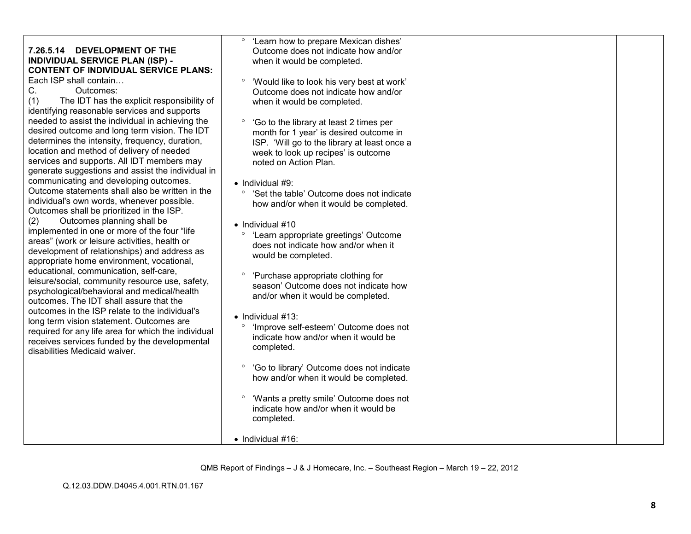| 7.26.5.14 DEVELOPMENT OF THE<br><b>INDIVIDUAL SERVICE PLAN (ISP) -</b><br><b>CONTENT OF INDIVIDUAL SERVICE PLANS:</b><br>Each ISP shall contain                                                                                                                                                     | $\circ$<br>'Learn how to prepare Mexican dishes'<br>Outcome does not indicate how and/or<br>when it would be completed.<br>$\circ$<br>'Would like to look his very best at work'                   |  |
|-----------------------------------------------------------------------------------------------------------------------------------------------------------------------------------------------------------------------------------------------------------------------------------------------------|----------------------------------------------------------------------------------------------------------------------------------------------------------------------------------------------------|--|
| C.<br>Outcomes:<br>The IDT has the explicit responsibility of<br>(1)<br>identifying reasonable services and supports                                                                                                                                                                                | Outcome does not indicate how and/or<br>when it would be completed.                                                                                                                                |  |
| needed to assist the individual in achieving the<br>desired outcome and long term vision. The IDT<br>determines the intensity, frequency, duration,<br>location and method of delivery of needed<br>services and supports. All IDT members may<br>generate suggestions and assist the individual in | 'Go to the library at least 2 times per<br>month for 1 year' is desired outcome in<br>ISP. 'Will go to the library at least once a<br>week to look up recipes' is outcome<br>noted on Action Plan. |  |
| communicating and developing outcomes.<br>Outcome statements shall also be written in the<br>individual's own words, whenever possible.<br>Outcomes shall be prioritized in the ISP.                                                                                                                | $\bullet$ Individual #9:<br>'Set the table' Outcome does not indicate<br>how and/or when it would be completed.                                                                                    |  |
| Outcomes planning shall be<br>(2)<br>implemented in one or more of the four "life"<br>areas" (work or leisure activities, health or<br>development of relationships) and address as<br>appropriate home environment, vocational,                                                                    | $\bullet$ Individual #10<br>'Learn appropriate greetings' Outcome<br>$\circ$<br>does not indicate how and/or when it<br>would be completed.                                                        |  |
| educational, communication, self-care,<br>leisure/social, community resource use, safety,<br>psychological/behavioral and medical/health<br>outcomes. The IDT shall assure that the                                                                                                                 | $\circ$<br>'Purchase appropriate clothing for<br>season' Outcome does not indicate how<br>and/or when it would be completed.                                                                       |  |
| outcomes in the ISP relate to the individual's<br>long term vision statement. Outcomes are<br>required for any life area for which the individual<br>receives services funded by the developmental<br>disabilities Medicaid waiver.                                                                 | $\bullet$ Individual #13:<br>$\circ$<br>'Improve self-esteem' Outcome does not<br>indicate how and/or when it would be<br>completed.                                                               |  |
|                                                                                                                                                                                                                                                                                                     | 'Go to library' Outcome does not indicate<br>$\circ$<br>how and/or when it would be completed.                                                                                                     |  |
|                                                                                                                                                                                                                                                                                                     | 'Wants a pretty smile' Outcome does not<br>indicate how and/or when it would be<br>completed.                                                                                                      |  |
|                                                                                                                                                                                                                                                                                                     | $\bullet$ Individual #16:                                                                                                                                                                          |  |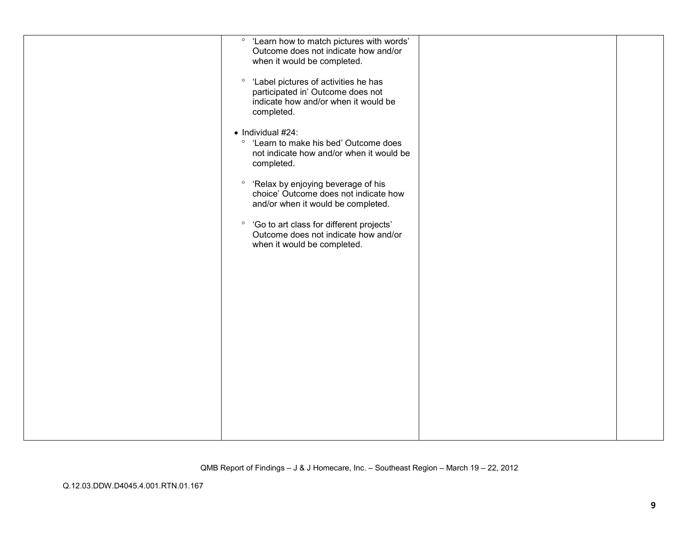| $\circ$<br>'Learn how to match pictures with words'<br>Outcome does not indicate how and/or<br>when it would be completed.<br>'Label pictures of activities he has<br>$\circ$<br>participated in' Outcome does not<br>indicate how and/or when it would be<br>completed.<br>$\bullet$ Individual #24:<br>$\circ$<br>'Learn to make his bed' Outcome does<br>not indicate how and/or when it would be |  |
|------------------------------------------------------------------------------------------------------------------------------------------------------------------------------------------------------------------------------------------------------------------------------------------------------------------------------------------------------------------------------------------------------|--|
| completed.<br>'Relax by enjoying beverage of his<br>$\circ$<br>choice' Outcome does not indicate how<br>and/or when it would be completed.<br>$\circ$<br>'Go to art class for different projects'<br>Outcome does not indicate how and/or<br>when it would be completed.                                                                                                                             |  |
|                                                                                                                                                                                                                                                                                                                                                                                                      |  |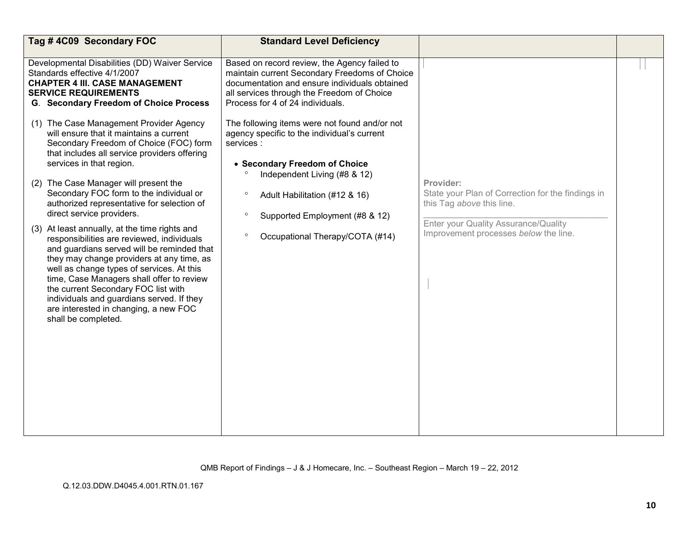| Tag #4C09 Secondary FOC                                                                                                                                                                                                                                                                                                                                                                                                              | <b>Standard Level Deficiency</b>                                                                                                                                                                                                 |                                                                                             |  |
|--------------------------------------------------------------------------------------------------------------------------------------------------------------------------------------------------------------------------------------------------------------------------------------------------------------------------------------------------------------------------------------------------------------------------------------|----------------------------------------------------------------------------------------------------------------------------------------------------------------------------------------------------------------------------------|---------------------------------------------------------------------------------------------|--|
| Developmental Disabilities (DD) Waiver Service<br>Standards effective 4/1/2007<br><b>CHAPTER 4 III. CASE MANAGEMENT</b><br><b>SERVICE REQUIREMENTS</b><br><b>G. Secondary Freedom of Choice Process</b>                                                                                                                                                                                                                              | Based on record review, the Agency failed to<br>maintain current Secondary Freedoms of Choice<br>documentation and ensure individuals obtained<br>all services through the Freedom of Choice<br>Process for 4 of 24 individuals. |                                                                                             |  |
| (1) The Case Management Provider Agency<br>will ensure that it maintains a current<br>Secondary Freedom of Choice (FOC) form<br>that includes all service providers offering<br>services in that region.                                                                                                                                                                                                                             | The following items were not found and/or not<br>agency specific to the individual's current<br>services :<br>• Secondary Freedom of Choice<br>Independent Living (#8 & 12)                                                      |                                                                                             |  |
| (2) The Case Manager will present the<br>Secondary FOC form to the individual or<br>authorized representative for selection of<br>direct service providers.                                                                                                                                                                                                                                                                          | Adult Habilitation (#12 & 16)<br>Supported Employment (#8 & 12)<br>$\circ$                                                                                                                                                       | Provider:<br>State your Plan of Correction for the findings in<br>this Tag above this line. |  |
| (3) At least annually, at the time rights and<br>responsibilities are reviewed, individuals<br>and guardians served will be reminded that<br>they may change providers at any time, as<br>well as change types of services. At this<br>time, Case Managers shall offer to review<br>the current Secondary FOC list with<br>individuals and guardians served. If they<br>are interested in changing, a new FOC<br>shall be completed. | Occupational Therapy/COTA (#14)                                                                                                                                                                                                  | Enter your Quality Assurance/Quality<br>Improvement processes below the line.               |  |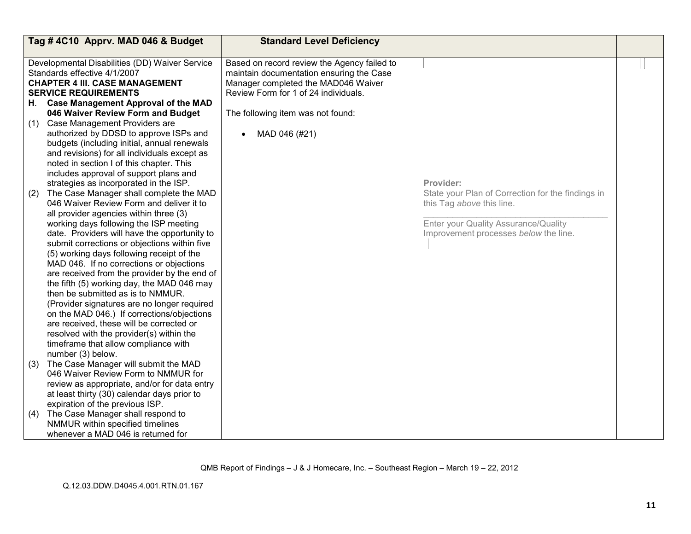|     | Tag #4C10 Apprv. MAD 046 & Budget              | <b>Standard Level Deficiency</b>            |                                                   |  |
|-----|------------------------------------------------|---------------------------------------------|---------------------------------------------------|--|
|     |                                                |                                             |                                                   |  |
|     | Developmental Disabilities (DD) Waiver Service | Based on record review the Agency failed to |                                                   |  |
|     | Standards effective 4/1/2007                   | maintain documentation ensuring the Case    |                                                   |  |
|     | <b>CHAPTER 4 III. CASE MANAGEMENT</b>          | Manager completed the MAD046 Waiver         |                                                   |  |
|     | <b>SERVICE REQUIREMENTS</b>                    | Review Form for 1 of 24 individuals.        |                                                   |  |
|     | H. Case Management Approval of the MAD         |                                             |                                                   |  |
|     | 046 Waiver Review Form and Budget              | The following item was not found:           |                                                   |  |
| (1) | Case Management Providers are                  |                                             |                                                   |  |
|     | authorized by DDSD to approve ISPs and         | MAD 046 (#21)<br>$\bullet$                  |                                                   |  |
|     | budgets (including initial, annual renewals    |                                             |                                                   |  |
|     | and revisions) for all individuals except as   |                                             |                                                   |  |
|     | noted in section I of this chapter. This       |                                             |                                                   |  |
|     | includes approval of support plans and         |                                             |                                                   |  |
|     | strategies as incorporated in the ISP.         |                                             | Provider:                                         |  |
| (2) | The Case Manager shall complete the MAD        |                                             | State your Plan of Correction for the findings in |  |
|     | 046 Waiver Review Form and deliver it to       |                                             | this Tag above this line.                         |  |
|     | all provider agencies within three (3)         |                                             |                                                   |  |
|     | working days following the ISP meeting         |                                             | Enter your Quality Assurance/Quality              |  |
|     | date. Providers will have the opportunity to   |                                             | Improvement processes below the line.             |  |
|     | submit corrections or objections within five   |                                             |                                                   |  |
|     | (5) working days following receipt of the      |                                             |                                                   |  |
|     | MAD 046. If no corrections or objections       |                                             |                                                   |  |
|     | are received from the provider by the end of   |                                             |                                                   |  |
|     | the fifth (5) working day, the MAD 046 may     |                                             |                                                   |  |
|     | then be submitted as is to NMMUR.              |                                             |                                                   |  |
|     | (Provider signatures are no longer required    |                                             |                                                   |  |
|     | on the MAD 046.) If corrections/objections     |                                             |                                                   |  |
|     | are received, these will be corrected or       |                                             |                                                   |  |
|     | resolved with the provider(s) within the       |                                             |                                                   |  |
|     | timeframe that allow compliance with           |                                             |                                                   |  |
|     | number (3) below.                              |                                             |                                                   |  |
| (3) | The Case Manager will submit the MAD           |                                             |                                                   |  |
|     | 046 Waiver Review Form to NMMUR for            |                                             |                                                   |  |
|     | review as appropriate, and/or for data entry   |                                             |                                                   |  |
|     | at least thirty (30) calendar days prior to    |                                             |                                                   |  |
|     | expiration of the previous ISP.                |                                             |                                                   |  |
| (4) | The Case Manager shall respond to              |                                             |                                                   |  |
|     | NMMUR within specified timelines               |                                             |                                                   |  |
|     | whenever a MAD 046 is returned for             |                                             |                                                   |  |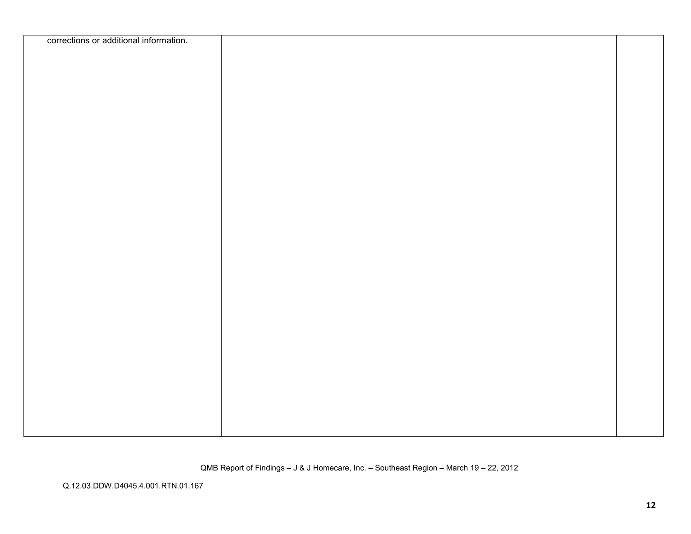| corrections or additional information. |  |  |
|----------------------------------------|--|--|
|                                        |  |  |
|                                        |  |  |
|                                        |  |  |
|                                        |  |  |
|                                        |  |  |
|                                        |  |  |
|                                        |  |  |
|                                        |  |  |
|                                        |  |  |
|                                        |  |  |
|                                        |  |  |
|                                        |  |  |
|                                        |  |  |
|                                        |  |  |
|                                        |  |  |
|                                        |  |  |
|                                        |  |  |
|                                        |  |  |
|                                        |  |  |
|                                        |  |  |
|                                        |  |  |
|                                        |  |  |
|                                        |  |  |
|                                        |  |  |
|                                        |  |  |
|                                        |  |  |
|                                        |  |  |
|                                        |  |  |
|                                        |  |  |
|                                        |  |  |
|                                        |  |  |
|                                        |  |  |
|                                        |  |  |
|                                        |  |  |
|                                        |  |  |
|                                        |  |  |
|                                        |  |  |
|                                        |  |  |
|                                        |  |  |
|                                        |  |  |
|                                        |  |  |
|                                        |  |  |
|                                        |  |  |
|                                        |  |  |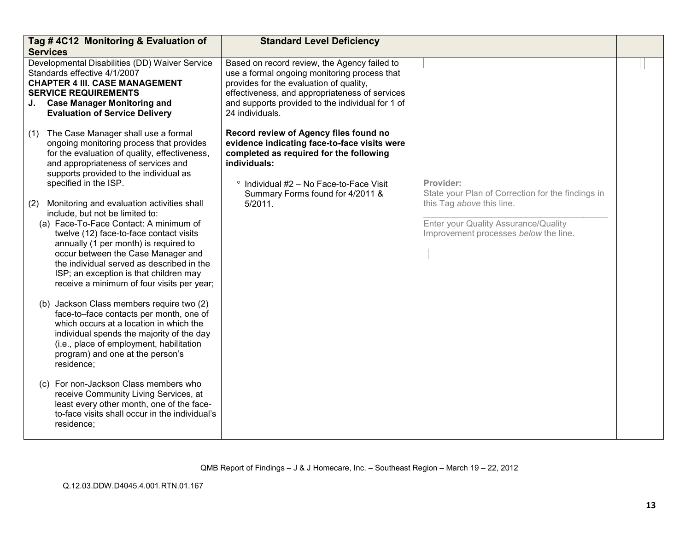| Tag #4C12 Monitoring & Evaluation of<br><b>Services</b>                                                                                                                                                                                                                                                                                                                                                                                                                                                                                                                                                                                                                                                                                                                                                                                                                                                                                                                   | <b>Standard Level Deficiency</b>                                                                                                                                                                                                                                 |                                                                                                                                                                              |  |
|---------------------------------------------------------------------------------------------------------------------------------------------------------------------------------------------------------------------------------------------------------------------------------------------------------------------------------------------------------------------------------------------------------------------------------------------------------------------------------------------------------------------------------------------------------------------------------------------------------------------------------------------------------------------------------------------------------------------------------------------------------------------------------------------------------------------------------------------------------------------------------------------------------------------------------------------------------------------------|------------------------------------------------------------------------------------------------------------------------------------------------------------------------------------------------------------------------------------------------------------------|------------------------------------------------------------------------------------------------------------------------------------------------------------------------------|--|
| Developmental Disabilities (DD) Waiver Service<br>Standards effective 4/1/2007<br><b>CHAPTER 4 III. CASE MANAGEMENT</b><br><b>SERVICE REQUIREMENTS</b><br><b>Case Manager Monitoring and</b><br>J.<br><b>Evaluation of Service Delivery</b>                                                                                                                                                                                                                                                                                                                                                                                                                                                                                                                                                                                                                                                                                                                               | Based on record review, the Agency failed to<br>use a formal ongoing monitoring process that<br>provides for the evaluation of quality,<br>effectiveness, and appropriateness of services<br>and supports provided to the individual for 1 of<br>24 individuals. |                                                                                                                                                                              |  |
| The Case Manager shall use a formal<br>(1)<br>ongoing monitoring process that provides<br>for the evaluation of quality, effectiveness,<br>and appropriateness of services and<br>supports provided to the individual as<br>specified in the ISP.<br>Monitoring and evaluation activities shall<br>(2)<br>include, but not be limited to:<br>(a) Face-To-Face Contact: A minimum of<br>twelve (12) face-to-face contact visits<br>annually (1 per month) is required to<br>occur between the Case Manager and<br>the individual served as described in the<br>ISP; an exception is that children may<br>receive a minimum of four visits per year;<br>(b) Jackson Class members require two (2)<br>face-to-face contacts per month, one of<br>which occurs at a location in which the<br>individual spends the majority of the day<br>(i.e., place of employment, habilitation<br>program) and one at the person's<br>residence;<br>(c) For non-Jackson Class members who | Record review of Agency files found no<br>evidence indicating face-to-face visits were<br>completed as required for the following<br>individuals:<br>° Individual #2 - No Face-to-Face Visit<br>Summary Forms found for 4/2011 &<br>$5/2011$ .                   | Provider:<br>State your Plan of Correction for the findings in<br>this Tag above this line.<br>Enter your Quality Assurance/Quality<br>Improvement processes below the line. |  |
| receive Community Living Services, at<br>least every other month, one of the face-<br>to-face visits shall occur in the individual's<br>residence;                                                                                                                                                                                                                                                                                                                                                                                                                                                                                                                                                                                                                                                                                                                                                                                                                        |                                                                                                                                                                                                                                                                  |                                                                                                                                                                              |  |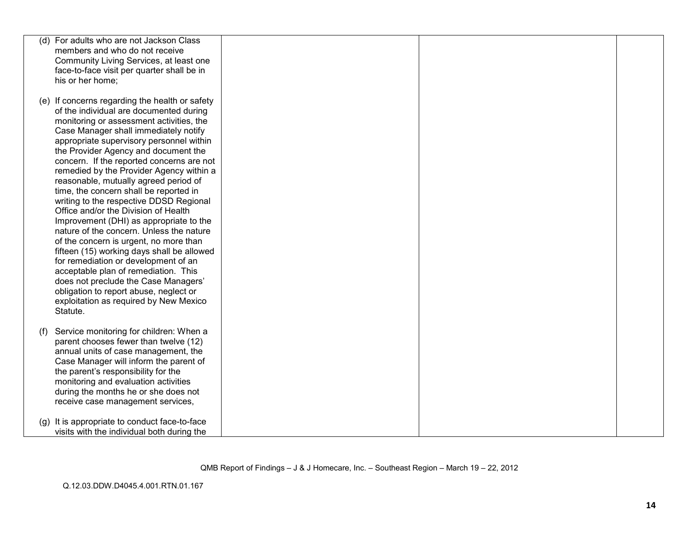|     | (d) For adults who are not Jackson Class                                         |  |  |
|-----|----------------------------------------------------------------------------------|--|--|
|     | members and who do not receive                                                   |  |  |
|     | Community Living Services, at least one                                          |  |  |
|     | face-to-face visit per quarter shall be in                                       |  |  |
|     | his or her home;                                                                 |  |  |
|     |                                                                                  |  |  |
|     | (e) If concerns regarding the health or safety                                   |  |  |
|     | of the individual are documented during                                          |  |  |
|     | monitoring or assessment activities, the                                         |  |  |
|     | Case Manager shall immediately notify                                            |  |  |
|     | appropriate supervisory personnel within                                         |  |  |
|     | the Provider Agency and document the                                             |  |  |
|     | concern. If the reported concerns are not                                        |  |  |
|     | remedied by the Provider Agency within a                                         |  |  |
|     | reasonable, mutually agreed period of                                            |  |  |
|     | time, the concern shall be reported in                                           |  |  |
|     | writing to the respective DDSD Regional                                          |  |  |
|     | Office and/or the Division of Health                                             |  |  |
|     | Improvement (DHI) as appropriate to the                                          |  |  |
|     | nature of the concern. Unless the nature                                         |  |  |
|     | of the concern is urgent, no more than                                           |  |  |
|     | fifteen (15) working days shall be allowed                                       |  |  |
|     | for remediation or development of an                                             |  |  |
|     | acceptable plan of remediation. This                                             |  |  |
|     | does not preclude the Case Managers'                                             |  |  |
|     | obligation to report abuse, neglect or                                           |  |  |
|     | exploitation as required by New Mexico                                           |  |  |
|     | Statute.                                                                         |  |  |
|     |                                                                                  |  |  |
|     |                                                                                  |  |  |
| (f) | Service monitoring for children: When a<br>parent chooses fewer than twelve (12) |  |  |
|     | annual units of case management, the                                             |  |  |
|     | Case Manager will inform the parent of                                           |  |  |
|     |                                                                                  |  |  |
|     | the parent's responsibility for the<br>monitoring and evaluation activities      |  |  |
|     |                                                                                  |  |  |
|     | during the months he or she does not                                             |  |  |
|     | receive case management services,                                                |  |  |
|     |                                                                                  |  |  |
|     | (g) It is appropriate to conduct face-to-face                                    |  |  |
|     | visits with the individual both during the                                       |  |  |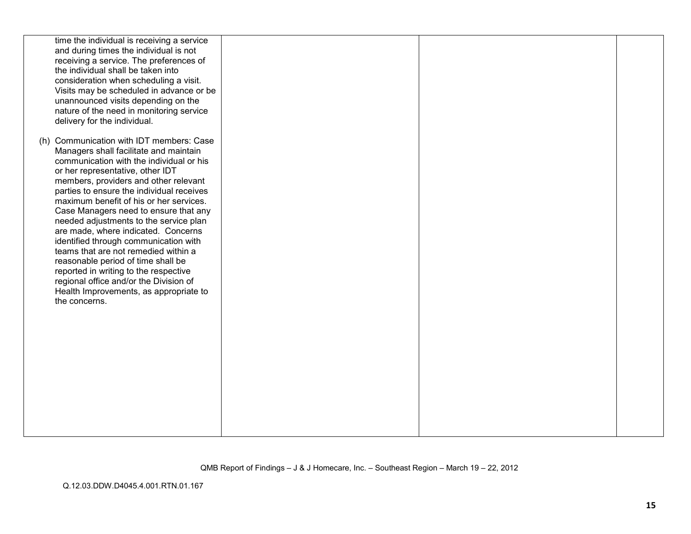| time the individual is receiving a service<br>and during times the individual is not<br>receiving a service. The preferences of<br>the individual shall be taken into<br>consideration when scheduling a visit.<br>Visits may be scheduled in advance or be<br>unannounced visits depending on the<br>nature of the need in monitoring service<br>delivery for the individual.                                                                                                                                                                                                                                                                                                                     |  |  |
|----------------------------------------------------------------------------------------------------------------------------------------------------------------------------------------------------------------------------------------------------------------------------------------------------------------------------------------------------------------------------------------------------------------------------------------------------------------------------------------------------------------------------------------------------------------------------------------------------------------------------------------------------------------------------------------------------|--|--|
| (h) Communication with IDT members: Case<br>Managers shall facilitate and maintain<br>communication with the individual or his<br>or her representative, other IDT<br>members, providers and other relevant<br>parties to ensure the individual receives<br>maximum benefit of his or her services.<br>Case Managers need to ensure that any<br>needed adjustments to the service plan<br>are made, where indicated. Concerns<br>identified through communication with<br>teams that are not remedied within a<br>reasonable period of time shall be<br>reported in writing to the respective<br>regional office and/or the Division of<br>Health Improvements, as appropriate to<br>the concerns. |  |  |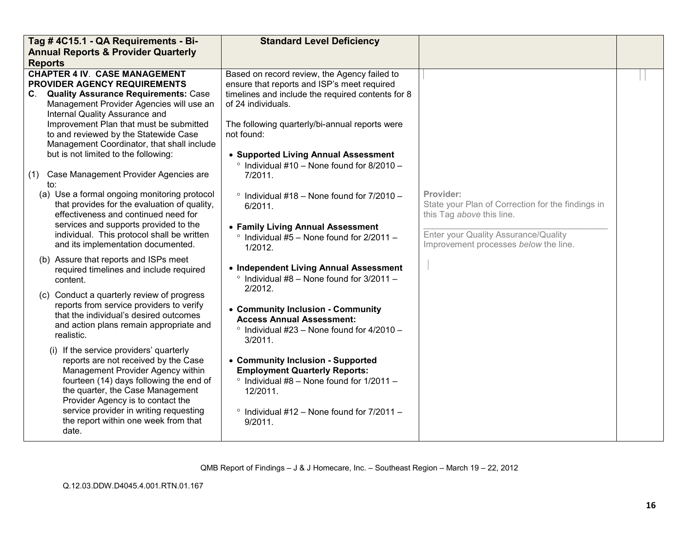|                | Tag # 4C15.1 - QA Requirements - Bi-                                                                                                                                                                                                                                                                                                                                                                                        | <b>Standard Level Deficiency</b>                                                                                                                                                                                                                                                                                                                |                                                                                             |  |
|----------------|-----------------------------------------------------------------------------------------------------------------------------------------------------------------------------------------------------------------------------------------------------------------------------------------------------------------------------------------------------------------------------------------------------------------------------|-------------------------------------------------------------------------------------------------------------------------------------------------------------------------------------------------------------------------------------------------------------------------------------------------------------------------------------------------|---------------------------------------------------------------------------------------------|--|
|                | <b>Annual Reports &amp; Provider Quarterly</b>                                                                                                                                                                                                                                                                                                                                                                              |                                                                                                                                                                                                                                                                                                                                                 |                                                                                             |  |
| <b>Reports</b> |                                                                                                                                                                                                                                                                                                                                                                                                                             |                                                                                                                                                                                                                                                                                                                                                 |                                                                                             |  |
|                | <b>CHAPTER 4 IV. CASE MANAGEMENT</b><br><b>PROVIDER AGENCY REQUIREMENTS</b><br>C. Quality Assurance Requirements: Case<br>Management Provider Agencies will use an<br>Internal Quality Assurance and<br>Improvement Plan that must be submitted<br>to and reviewed by the Statewide Case<br>Management Coordinator, that shall include<br>but is not limited to the following:<br>(1) Case Management Provider Agencies are | Based on record review, the Agency failed to<br>ensure that reports and ISP's meet required<br>timelines and include the required contents for 8<br>of 24 individuals.<br>The following quarterly/bi-annual reports were<br>not found:<br>• Supported Living Annual Assessment<br>$\degree$ Individual #10 - None found for 8/2010 -<br>7/2011. |                                                                                             |  |
| to:            |                                                                                                                                                                                                                                                                                                                                                                                                                             |                                                                                                                                                                                                                                                                                                                                                 |                                                                                             |  |
|                | (a) Use a formal ongoing monitoring protocol<br>that provides for the evaluation of quality,<br>effectiveness and continued need for                                                                                                                                                                                                                                                                                        | $\degree$ Individual #18 - None found for 7/2010 -<br>6/2011.                                                                                                                                                                                                                                                                                   | Provider:<br>State your Plan of Correction for the findings in<br>this Tag above this line. |  |
|                | services and supports provided to the<br>individual. This protocol shall be written<br>and its implementation documented.                                                                                                                                                                                                                                                                                                   | • Family Living Annual Assessment<br>$\degree$ Individual #5 – None found for 2/2011 –<br>1/2012                                                                                                                                                                                                                                                | Enter your Quality Assurance/Quality<br>Improvement processes below the line.               |  |
|                | (b) Assure that reports and ISPs meet<br>required timelines and include required<br>content.                                                                                                                                                                                                                                                                                                                                | • Independent Living Annual Assessment<br>$\degree$ Individual #8 - None found for 3/2011 -<br>2/2012.                                                                                                                                                                                                                                          |                                                                                             |  |
|                | (c) Conduct a quarterly review of progress<br>reports from service providers to verify<br>that the individual's desired outcomes<br>and action plans remain appropriate and<br>realistic.                                                                                                                                                                                                                                   | • Community Inclusion - Community<br><b>Access Annual Assessment:</b><br>$\degree$ Individual #23 - None found for 4/2010 -<br>3/2011.                                                                                                                                                                                                          |                                                                                             |  |
|                | (i) If the service providers' quarterly<br>reports are not received by the Case<br>Management Provider Agency within<br>fourteen (14) days following the end of<br>the quarter, the Case Management<br>Provider Agency is to contact the<br>service provider in writing requesting<br>the report within one week from that<br>date.                                                                                         | • Community Inclusion - Supported<br><b>Employment Quarterly Reports:</b><br>$\degree$ Individual #8 – None found for 1/2011 –<br>12/2011.<br>$\degree$ Individual #12 - None found for 7/2011 -<br>9/2011.                                                                                                                                     |                                                                                             |  |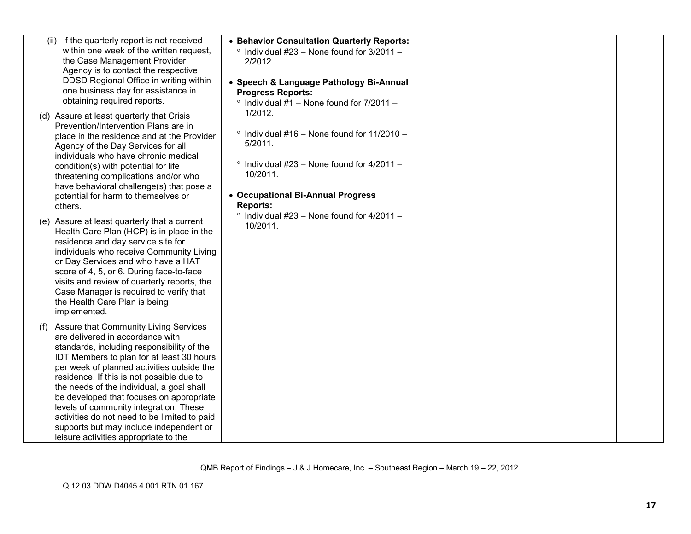| (ii) If the quarterly report is not received<br>within one week of the written request,<br>the Case Management Provider<br>Agency is to contact the respective<br>DDSD Regional Office in writing within<br>one business day for assistance in<br>obtaining required reports.                                                                                                                                                                                                                                                              | • Behavior Consultation Quarterly Reports:<br>$\degree$ Individual #23 - None found for 3/2011 -<br>2/2012.<br>• Speech & Language Pathology Bi-Annual<br><b>Progress Reports:</b><br>$\degree$ Individual #1 - None found for 7/2011 - |  |
|--------------------------------------------------------------------------------------------------------------------------------------------------------------------------------------------------------------------------------------------------------------------------------------------------------------------------------------------------------------------------------------------------------------------------------------------------------------------------------------------------------------------------------------------|-----------------------------------------------------------------------------------------------------------------------------------------------------------------------------------------------------------------------------------------|--|
| (d) Assure at least quarterly that Crisis<br>Prevention/Intervention Plans are in<br>place in the residence and at the Provider<br>Agency of the Day Services for all<br>individuals who have chronic medical<br>condition(s) with potential for life<br>threatening complications and/or who<br>have behavioral challenge(s) that pose a<br>potential for harm to themselves or<br>others.                                                                                                                                                | 1/2012.<br>$\degree$ Individual #16 - None found for 11/2010 -<br>5/2011.<br>$\degree$ Individual #23 - None found for 4/2011 -<br>10/2011.<br>• Occupational Bi-Annual Progress<br><b>Reports:</b>                                     |  |
| (e) Assure at least quarterly that a current<br>Health Care Plan (HCP) is in place in the<br>residence and day service site for<br>individuals who receive Community Living<br>or Day Services and who have a HAT<br>score of 4, 5, or 6. During face-to-face<br>visits and review of quarterly reports, the<br>Case Manager is required to verify that<br>the Health Care Plan is being<br>implemented.                                                                                                                                   | $\degree$ Individual #23 - None found for 4/2011 -<br>10/2011.                                                                                                                                                                          |  |
| (f) Assure that Community Living Services<br>are delivered in accordance with<br>standards, including responsibility of the<br>IDT Members to plan for at least 30 hours<br>per week of planned activities outside the<br>residence. If this is not possible due to<br>the needs of the individual, a goal shall<br>be developed that focuses on appropriate<br>levels of community integration. These<br>activities do not need to be limited to paid<br>supports but may include independent or<br>leisure activities appropriate to the |                                                                                                                                                                                                                                         |  |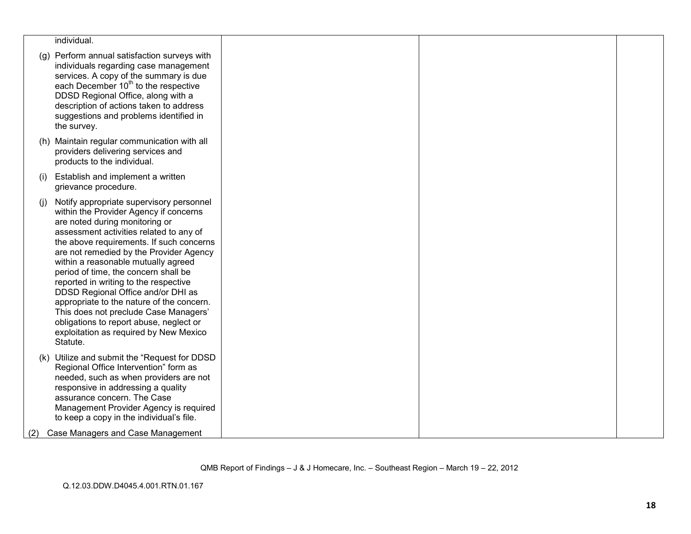|     | individual.                                                                                                                                                                                                                                                                                                                                                                                                                                                                                                                                                                                                 |  |  |
|-----|-------------------------------------------------------------------------------------------------------------------------------------------------------------------------------------------------------------------------------------------------------------------------------------------------------------------------------------------------------------------------------------------------------------------------------------------------------------------------------------------------------------------------------------------------------------------------------------------------------------|--|--|
|     | (g) Perform annual satisfaction surveys with<br>individuals regarding case management<br>services. A copy of the summary is due<br>each December 10 <sup>th</sup> to the respective<br>DDSD Regional Office, along with a<br>description of actions taken to address<br>suggestions and problems identified in<br>the survey.                                                                                                                                                                                                                                                                               |  |  |
|     | (h) Maintain regular communication with all<br>providers delivering services and<br>products to the individual.                                                                                                                                                                                                                                                                                                                                                                                                                                                                                             |  |  |
| (i) | Establish and implement a written<br>grievance procedure.                                                                                                                                                                                                                                                                                                                                                                                                                                                                                                                                                   |  |  |
| (i) | Notify appropriate supervisory personnel<br>within the Provider Agency if concerns<br>are noted during monitoring or<br>assessment activities related to any of<br>the above requirements. If such concerns<br>are not remedied by the Provider Agency<br>within a reasonable mutually agreed<br>period of time, the concern shall be<br>reported in writing to the respective<br>DDSD Regional Office and/or DHI as<br>appropriate to the nature of the concern.<br>This does not preclude Case Managers'<br>obligations to report abuse, neglect or<br>exploitation as required by New Mexico<br>Statute. |  |  |
|     | (k) Utilize and submit the "Request for DDSD<br>Regional Office Intervention" form as<br>needed, such as when providers are not<br>responsive in addressing a quality<br>assurance concern. The Case<br>Management Provider Agency is required<br>to keep a copy in the individual's file.                                                                                                                                                                                                                                                                                                                  |  |  |
| (2) | Case Managers and Case Management                                                                                                                                                                                                                                                                                                                                                                                                                                                                                                                                                                           |  |  |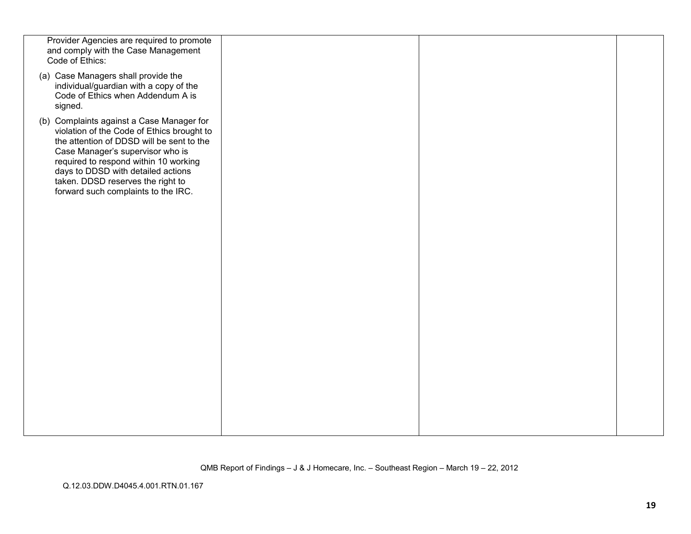| Provider Agencies are required to promote<br>and comply with the Case Management<br>Code of Ethics:                                                                                                                                                                                                                                 |  |  |
|-------------------------------------------------------------------------------------------------------------------------------------------------------------------------------------------------------------------------------------------------------------------------------------------------------------------------------------|--|--|
| (a) Case Managers shall provide the<br>individual/guardian with a copy of the<br>Code of Ethics when Addendum A is<br>signed.                                                                                                                                                                                                       |  |  |
| (b) Complaints against a Case Manager for<br>violation of the Code of Ethics brought to<br>the attention of DDSD will be sent to the<br>Case Manager's supervisor who is<br>required to respond within 10 working<br>days to DDSD with detailed actions<br>taken. DDSD reserves the right to<br>forward such complaints to the IRC. |  |  |
|                                                                                                                                                                                                                                                                                                                                     |  |  |
|                                                                                                                                                                                                                                                                                                                                     |  |  |
|                                                                                                                                                                                                                                                                                                                                     |  |  |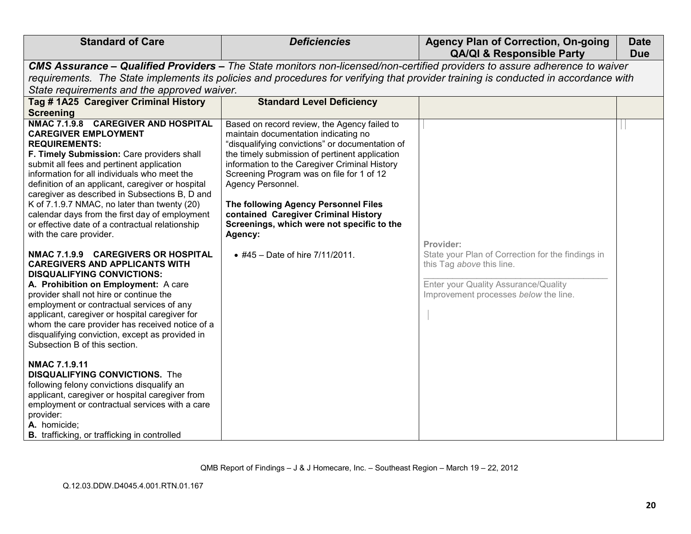| <b>Standard of Care</b>                                                                                                                                                                                                                                                                                                                                                                                                                                                                                                      | <b>Deficiencies</b>                                                                                                                                                                                                                                                                                                                                                                                                                                   | <b>Agency Plan of Correction, On-going</b><br><b>QA/QI &amp; Responsible Party</b>                                                                              | <b>Date</b><br><b>Due</b> |
|------------------------------------------------------------------------------------------------------------------------------------------------------------------------------------------------------------------------------------------------------------------------------------------------------------------------------------------------------------------------------------------------------------------------------------------------------------------------------------------------------------------------------|-------------------------------------------------------------------------------------------------------------------------------------------------------------------------------------------------------------------------------------------------------------------------------------------------------------------------------------------------------------------------------------------------------------------------------------------------------|-----------------------------------------------------------------------------------------------------------------------------------------------------------------|---------------------------|
|                                                                                                                                                                                                                                                                                                                                                                                                                                                                                                                              |                                                                                                                                                                                                                                                                                                                                                                                                                                                       | CMS Assurance – Qualified Providers – The State monitors non-licensed/non-certified providers to assure adherence to waiver                                     |                           |
|                                                                                                                                                                                                                                                                                                                                                                                                                                                                                                                              |                                                                                                                                                                                                                                                                                                                                                                                                                                                       | requirements. The State implements its policies and procedures for verifying that provider training is conducted in accordance with                             |                           |
| State requirements and the approved waiver.                                                                                                                                                                                                                                                                                                                                                                                                                                                                                  |                                                                                                                                                                                                                                                                                                                                                                                                                                                       |                                                                                                                                                                 |                           |
| Tag # 1A25 Caregiver Criminal History                                                                                                                                                                                                                                                                                                                                                                                                                                                                                        | <b>Standard Level Deficiency</b>                                                                                                                                                                                                                                                                                                                                                                                                                      |                                                                                                                                                                 |                           |
| <b>Screening</b>                                                                                                                                                                                                                                                                                                                                                                                                                                                                                                             |                                                                                                                                                                                                                                                                                                                                                                                                                                                       |                                                                                                                                                                 |                           |
| NMAC 7.1.9.8 CAREGIVER AND HOSPITAL<br><b>CAREGIVER EMPLOYMENT</b><br><b>REQUIREMENTS:</b><br>F. Timely Submission: Care providers shall<br>submit all fees and pertinent application<br>information for all individuals who meet the<br>definition of an applicant, caregiver or hospital<br>caregiver as described in Subsections B, D and<br>K of 7.1.9.7 NMAC, no later than twenty (20)<br>calendar days from the first day of employment<br>or effective date of a contractual relationship<br>with the care provider. | Based on record review, the Agency failed to<br>maintain documentation indicating no<br>"disqualifying convictions" or documentation of<br>the timely submission of pertinent application<br>information to the Caregiver Criminal History<br>Screening Program was on file for 1 of 12<br>Agency Personnel.<br>The following Agency Personnel Files<br>contained Caregiver Criminal History<br>Screenings, which were not specific to the<br>Agency: | Provider:                                                                                                                                                       |                           |
| NMAC 7.1.9.9 CAREGIVERS OR HOSPITAL<br><b>CAREGIVERS AND APPLICANTS WITH</b><br><b>DISQUALIFYING CONVICTIONS:</b><br>A. Prohibition on Employment: A care<br>provider shall not hire or continue the<br>employment or contractual services of any<br>applicant, caregiver or hospital caregiver for<br>whom the care provider has received notice of a<br>disqualifying conviction, except as provided in<br>Subsection B of this section.                                                                                   | • #45 - Date of hire 7/11/2011.                                                                                                                                                                                                                                                                                                                                                                                                                       | State your Plan of Correction for the findings in<br>this Tag above this line.<br>Enter your Quality Assurance/Quality<br>Improvement processes below the line. |                           |
| <b>NMAC 7.1.9.11</b><br><b>DISQUALIFYING CONVICTIONS.</b> The<br>following felony convictions disqualify an<br>applicant, caregiver or hospital caregiver from<br>employment or contractual services with a care<br>provider:<br>A. homicide;<br><b>B.</b> trafficking, or trafficking in controlled                                                                                                                                                                                                                         |                                                                                                                                                                                                                                                                                                                                                                                                                                                       |                                                                                                                                                                 |                           |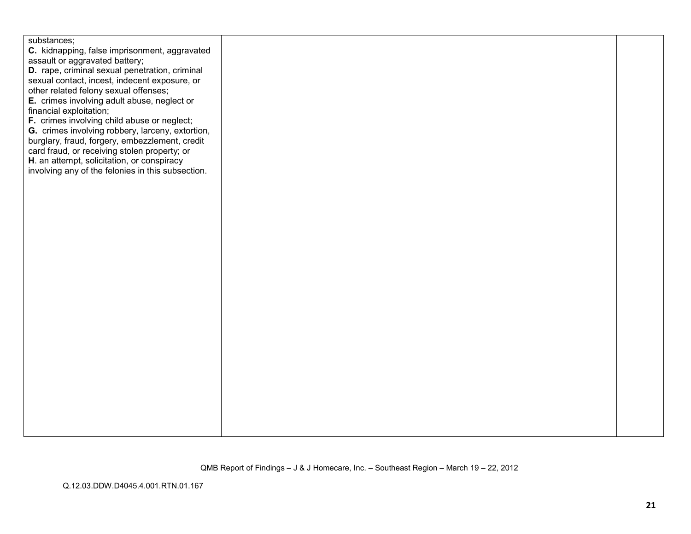| substances;<br>C. kidnapping, false imprisonment, aggravated<br>assault or aggravated battery;<br>D. rape, criminal sexual penetration, criminal<br>sexual contact, incest, indecent exposure, or<br>other related felony sexual offenses;<br>E. crimes involving adult abuse, neglect or<br>financial exploitation;<br>F. crimes involving child abuse or neglect;<br>G. crimes involving robbery, larceny, extortion,<br>burglary, fraud, forgery, embezzlement, credit<br>card fraud, or receiving stolen property; or<br>H. an attempt, solicitation, or conspiracy<br>involving any of the felonies in this subsection. |  |  |
|------------------------------------------------------------------------------------------------------------------------------------------------------------------------------------------------------------------------------------------------------------------------------------------------------------------------------------------------------------------------------------------------------------------------------------------------------------------------------------------------------------------------------------------------------------------------------------------------------------------------------|--|--|
|                                                                                                                                                                                                                                                                                                                                                                                                                                                                                                                                                                                                                              |  |  |
|                                                                                                                                                                                                                                                                                                                                                                                                                                                                                                                                                                                                                              |  |  |
|                                                                                                                                                                                                                                                                                                                                                                                                                                                                                                                                                                                                                              |  |  |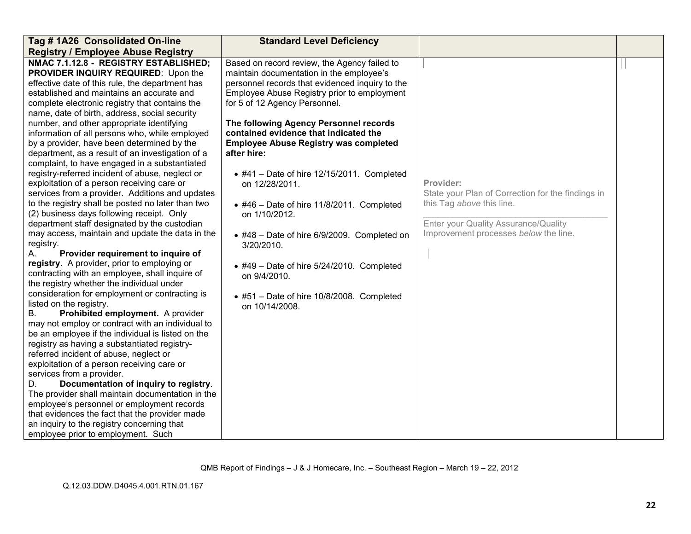| Tag #1A26 Consolidated On-line                                                                                                                                                                                                                                                                                                                                                                                                                                                                                                                                                                                                                                                                                                                                                                                                                                                                                                                                                                                                                                                                                                                                                                                                                                                                                                                                                                                                                                                                                                                                                                                                                                                                                                                                                                 | <b>Standard Level Deficiency</b>                                                                                                                                                                                                                                                                                                                                                                                                                                                                                                                                                                                                                                                                                               |                                                                                                                                                                              |  |
|------------------------------------------------------------------------------------------------------------------------------------------------------------------------------------------------------------------------------------------------------------------------------------------------------------------------------------------------------------------------------------------------------------------------------------------------------------------------------------------------------------------------------------------------------------------------------------------------------------------------------------------------------------------------------------------------------------------------------------------------------------------------------------------------------------------------------------------------------------------------------------------------------------------------------------------------------------------------------------------------------------------------------------------------------------------------------------------------------------------------------------------------------------------------------------------------------------------------------------------------------------------------------------------------------------------------------------------------------------------------------------------------------------------------------------------------------------------------------------------------------------------------------------------------------------------------------------------------------------------------------------------------------------------------------------------------------------------------------------------------------------------------------------------------|--------------------------------------------------------------------------------------------------------------------------------------------------------------------------------------------------------------------------------------------------------------------------------------------------------------------------------------------------------------------------------------------------------------------------------------------------------------------------------------------------------------------------------------------------------------------------------------------------------------------------------------------------------------------------------------------------------------------------------|------------------------------------------------------------------------------------------------------------------------------------------------------------------------------|--|
| <b>Registry / Employee Abuse Registry</b>                                                                                                                                                                                                                                                                                                                                                                                                                                                                                                                                                                                                                                                                                                                                                                                                                                                                                                                                                                                                                                                                                                                                                                                                                                                                                                                                                                                                                                                                                                                                                                                                                                                                                                                                                      |                                                                                                                                                                                                                                                                                                                                                                                                                                                                                                                                                                                                                                                                                                                                |                                                                                                                                                                              |  |
| NMAC 7.1.12.8 - REGISTRY ESTABLISHED;<br>PROVIDER INQUIRY REQUIRED: Upon the<br>effective date of this rule, the department has<br>established and maintains an accurate and<br>complete electronic registry that contains the<br>name, date of birth, address, social security<br>number, and other appropriate identifying<br>information of all persons who, while employed<br>by a provider, have been determined by the<br>department, as a result of an investigation of a<br>complaint, to have engaged in a substantiated<br>registry-referred incident of abuse, neglect or<br>exploitation of a person receiving care or<br>services from a provider. Additions and updates<br>to the registry shall be posted no later than two<br>(2) business days following receipt. Only<br>department staff designated by the custodian<br>may access, maintain and update the data in the<br>registry.<br>Provider requirement to inquire of<br>А.<br>registry. A provider, prior to employing or<br>contracting with an employee, shall inquire of<br>the registry whether the individual under<br>consideration for employment or contracting is<br>listed on the registry.<br>Prohibited employment. A provider<br>В.<br>may not employ or contract with an individual to<br>be an employee if the individual is listed on the<br>registry as having a substantiated registry-<br>referred incident of abuse, neglect or<br>exploitation of a person receiving care or<br>services from a provider.<br>Documentation of inquiry to registry.<br>D.<br>The provider shall maintain documentation in the<br>employee's personnel or employment records<br>that evidences the fact that the provider made<br>an inquiry to the registry concerning that<br>employee prior to employment. Such | Based on record review, the Agency failed to<br>maintain documentation in the employee's<br>personnel records that evidenced inquiry to the<br>Employee Abuse Registry prior to employment<br>for 5 of 12 Agency Personnel.<br>The following Agency Personnel records<br>contained evidence that indicated the<br><b>Employee Abuse Registry was completed</b><br>after hire:<br>$\bullet$ #41 - Date of hire 12/15/2011. Completed<br>on 12/28/2011.<br>$\bullet$ #46 - Date of hire 11/8/2011. Completed<br>on 1/10/2012.<br>• #48 - Date of hire 6/9/2009. Completed on<br>3/20/2010.<br>$*$ #49 - Date of hire 5/24/2010. Completed<br>on 9/4/2010.<br>$\bullet$ #51 - Date of hire 10/8/2008. Completed<br>on 10/14/2008. | Provider:<br>State your Plan of Correction for the findings in<br>this Tag above this line.<br>Enter your Quality Assurance/Quality<br>Improvement processes below the line. |  |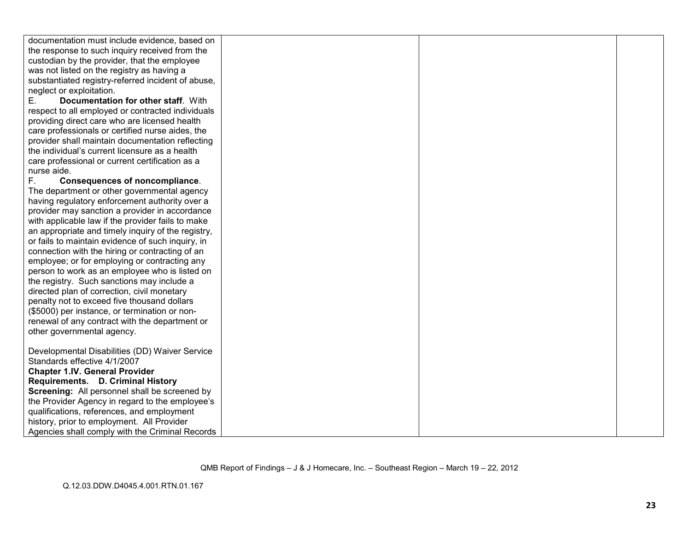| documentation must include evidence, based on      |  |  |
|----------------------------------------------------|--|--|
| the response to such inquiry received from the     |  |  |
| custodian by the provider, that the employee       |  |  |
| was not listed on the registry as having a         |  |  |
| substantiated registry-referred incident of abuse, |  |  |
| neglect or exploitation.                           |  |  |
| Documentation for other staff. With<br>Е.          |  |  |
| respect to all employed or contracted individuals  |  |  |
| providing direct care who are licensed health      |  |  |
| care professionals or certified nurse aides, the   |  |  |
| provider shall maintain documentation reflecting   |  |  |
| the individual's current licensure as a health     |  |  |
| care professional or current certification as a    |  |  |
| nurse aide.                                        |  |  |
| F.<br><b>Consequences of noncompliance.</b>        |  |  |
| The department or other governmental agency        |  |  |
| having regulatory enforcement authority over a     |  |  |
| provider may sanction a provider in accordance     |  |  |
| with applicable law if the provider fails to make  |  |  |
| an appropriate and timely inquiry of the registry, |  |  |
| or fails to maintain evidence of such inquiry, in  |  |  |
| connection with the hiring or contracting of an    |  |  |
| employee; or for employing or contracting any      |  |  |
| person to work as an employee who is listed on     |  |  |
| the registry. Such sanctions may include a         |  |  |
| directed plan of correction, civil monetary        |  |  |
| penalty not to exceed five thousand dollars        |  |  |
| (\$5000) per instance, or termination or non-      |  |  |
| renewal of any contract with the department or     |  |  |
| other governmental agency.                         |  |  |
|                                                    |  |  |
| Developmental Disabilities (DD) Waiver Service     |  |  |
| Standards effective 4/1/2007                       |  |  |
| <b>Chapter 1.IV. General Provider</b>              |  |  |
| Requirements. D. Criminal History                  |  |  |
| Screening: All personnel shall be screened by      |  |  |
| the Provider Agency in regard to the employee's    |  |  |
| qualifications, references, and employment         |  |  |
| history, prior to employment. All Provider         |  |  |
| Agencies shall comply with the Criminal Records    |  |  |
|                                                    |  |  |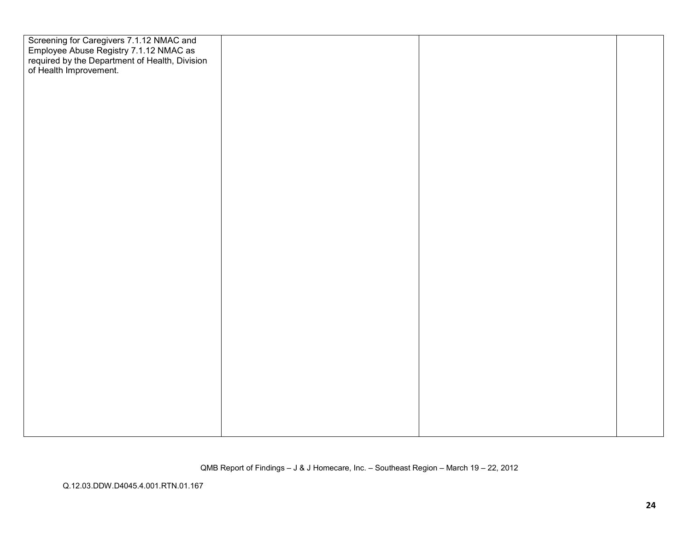| Screening for Caregivers 7.1.12 NMAC and<br>Employee Abuse Registry 7.1.12 NMAC as<br>required by the Department of Health, Division<br>of Health Improvement. |
|----------------------------------------------------------------------------------------------------------------------------------------------------------------|
|                                                                                                                                                                |
|                                                                                                                                                                |
|                                                                                                                                                                |
|                                                                                                                                                                |
|                                                                                                                                                                |
|                                                                                                                                                                |
|                                                                                                                                                                |
|                                                                                                                                                                |
|                                                                                                                                                                |
|                                                                                                                                                                |
|                                                                                                                                                                |
|                                                                                                                                                                |
|                                                                                                                                                                |
|                                                                                                                                                                |
|                                                                                                                                                                |
|                                                                                                                                                                |
|                                                                                                                                                                |
|                                                                                                                                                                |
|                                                                                                                                                                |
|                                                                                                                                                                |
|                                                                                                                                                                |
|                                                                                                                                                                |
|                                                                                                                                                                |
|                                                                                                                                                                |
|                                                                                                                                                                |
|                                                                                                                                                                |
|                                                                                                                                                                |
|                                                                                                                                                                |
|                                                                                                                                                                |
|                                                                                                                                                                |
|                                                                                                                                                                |
|                                                                                                                                                                |
|                                                                                                                                                                |
|                                                                                                                                                                |
|                                                                                                                                                                |
|                                                                                                                                                                |
|                                                                                                                                                                |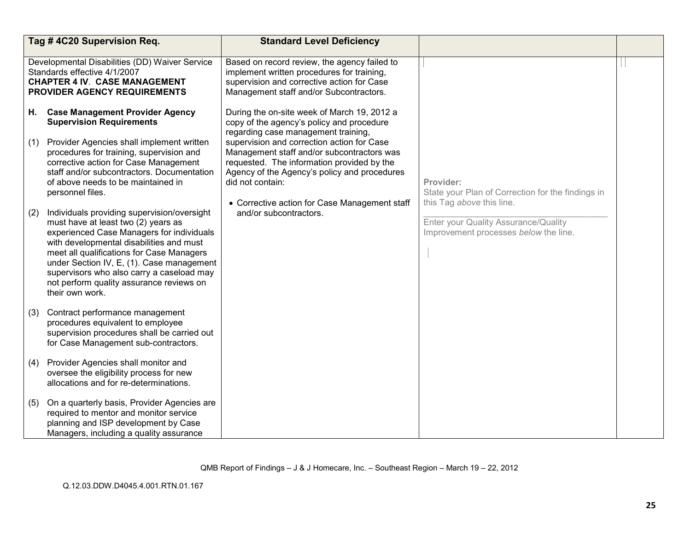|      | Tag #4C20 Supervision Req.                                                                                                                                                                                                                                                                                                                                                        | <b>Standard Level Deficiency</b>                                                                                                                                                                                                                            |                                                                                             |  |
|------|-----------------------------------------------------------------------------------------------------------------------------------------------------------------------------------------------------------------------------------------------------------------------------------------------------------------------------------------------------------------------------------|-------------------------------------------------------------------------------------------------------------------------------------------------------------------------------------------------------------------------------------------------------------|---------------------------------------------------------------------------------------------|--|
|      | Developmental Disabilities (DD) Waiver Service<br>Standards effective 4/1/2007<br><b>CHAPTER 4 IV. CASE MANAGEMENT</b><br><b>PROVIDER AGENCY REQUIREMENTS</b>                                                                                                                                                                                                                     | Based on record review, the agency failed to<br>implement written procedures for training,<br>supervision and corrective action for Case<br>Management staff and/or Subcontractors.                                                                         |                                                                                             |  |
| H. . | <b>Case Management Provider Agency</b><br><b>Supervision Requirements</b>                                                                                                                                                                                                                                                                                                         | During the on-site week of March 19, 2012 a<br>copy of the agency's policy and procedure<br>regarding case management training,                                                                                                                             |                                                                                             |  |
| (1)  | Provider Agencies shall implement written<br>procedures for training, supervision and<br>corrective action for Case Management<br>staff and/or subcontractors. Documentation<br>of above needs to be maintained in<br>personnel files.                                                                                                                                            | supervision and correction action for Case<br>Management staff and/or subcontractors was<br>requested. The information provided by the<br>Agency of the Agency's policy and procedures<br>did not contain:<br>• Corrective action for Case Management staff | Provider:<br>State your Plan of Correction for the findings in<br>this Tag above this line. |  |
| (2)  | Individuals providing supervision/oversight<br>must have at least two (2) years as<br>experienced Case Managers for individuals<br>with developmental disabilities and must<br>meet all qualifications for Case Managers<br>under Section IV, E, (1). Case management<br>supervisors who also carry a caseload may<br>not perform quality assurance reviews on<br>their own work. | and/or subcontractors.                                                                                                                                                                                                                                      | Enter your Quality Assurance/Quality<br>Improvement processes below the line.               |  |
| (3)  | Contract performance management<br>procedures equivalent to employee<br>supervision procedures shall be carried out<br>for Case Management sub-contractors.                                                                                                                                                                                                                       |                                                                                                                                                                                                                                                             |                                                                                             |  |
| (4)  | Provider Agencies shall monitor and<br>oversee the eligibility process for new<br>allocations and for re-determinations.                                                                                                                                                                                                                                                          |                                                                                                                                                                                                                                                             |                                                                                             |  |
| (5)  | On a quarterly basis, Provider Agencies are<br>required to mentor and monitor service<br>planning and ISP development by Case<br>Managers, including a quality assurance                                                                                                                                                                                                          |                                                                                                                                                                                                                                                             |                                                                                             |  |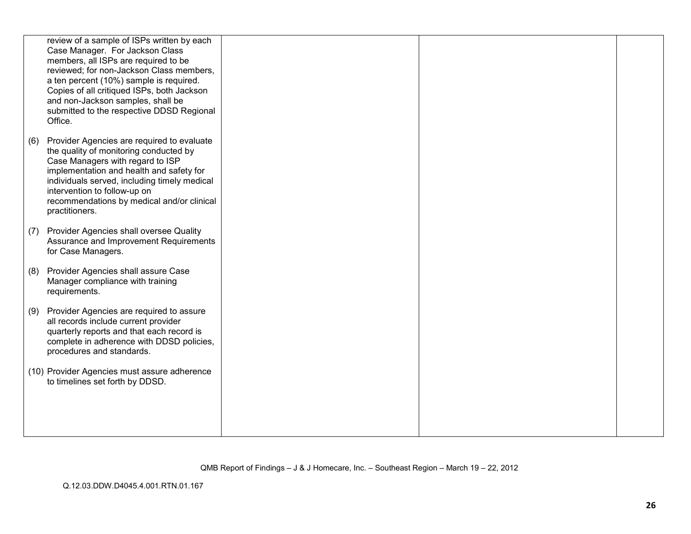|     | review of a sample of ISPs written by each<br>Case Manager. For Jackson Class<br>members, all ISPs are required to be<br>reviewed; for non-Jackson Class members,<br>a ten percent (10%) sample is required.<br>Copies of all critiqued ISPs, both Jackson<br>and non-Jackson samples, shall be<br>submitted to the respective DDSD Regional<br>Office. |  |  |
|-----|---------------------------------------------------------------------------------------------------------------------------------------------------------------------------------------------------------------------------------------------------------------------------------------------------------------------------------------------------------|--|--|
| (6) | Provider Agencies are required to evaluate<br>the quality of monitoring conducted by<br>Case Managers with regard to ISP<br>implementation and health and safety for<br>individuals served, including timely medical<br>intervention to follow-up on<br>recommendations by medical and/or clinical<br>practitioners.                                    |  |  |
| (7) | Provider Agencies shall oversee Quality<br>Assurance and Improvement Requirements<br>for Case Managers.                                                                                                                                                                                                                                                 |  |  |
| (8) | Provider Agencies shall assure Case<br>Manager compliance with training<br>requirements.                                                                                                                                                                                                                                                                |  |  |
| (9) | Provider Agencies are required to assure<br>all records include current provider<br>quarterly reports and that each record is<br>complete in adherence with DDSD policies,<br>procedures and standards.                                                                                                                                                 |  |  |
|     | (10) Provider Agencies must assure adherence<br>to timelines set forth by DDSD.                                                                                                                                                                                                                                                                         |  |  |
|     |                                                                                                                                                                                                                                                                                                                                                         |  |  |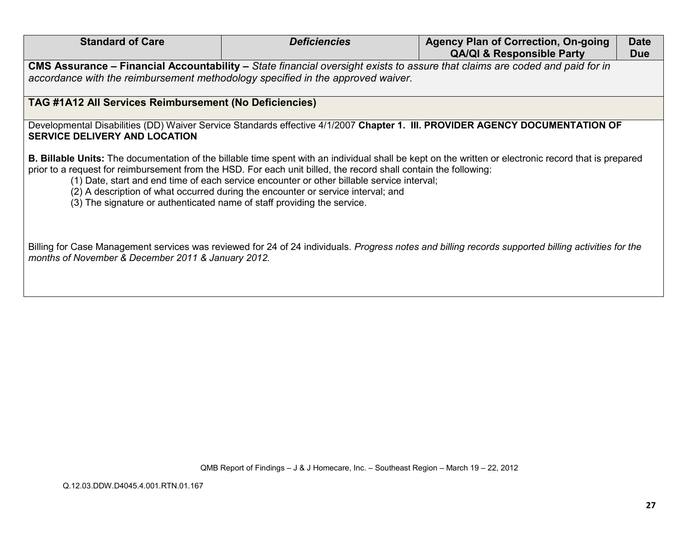| <b>Standard of Care</b>                                                                                                                                                                                   | <b>Deficiencies</b>                                                                                                                                                            | <b>Agency Plan of Correction, On-going</b>                                                                                                                   | <b>Date</b> |  |
|-----------------------------------------------------------------------------------------------------------------------------------------------------------------------------------------------------------|--------------------------------------------------------------------------------------------------------------------------------------------------------------------------------|--------------------------------------------------------------------------------------------------------------------------------------------------------------|-------------|--|
|                                                                                                                                                                                                           |                                                                                                                                                                                | <b>QA/QI &amp; Responsible Party</b>                                                                                                                         | <b>Due</b>  |  |
| CMS Assurance – Financial Accountability – State financial oversight exists to assure that claims are coded and paid for in                                                                               |                                                                                                                                                                                |                                                                                                                                                              |             |  |
| accordance with the reimbursement methodology specified in the approved waiver.                                                                                                                           |                                                                                                                                                                                |                                                                                                                                                              |             |  |
|                                                                                                                                                                                                           |                                                                                                                                                                                |                                                                                                                                                              |             |  |
|                                                                                                                                                                                                           |                                                                                                                                                                                |                                                                                                                                                              |             |  |
| TAG #1A12 All Services Reimbursement (No Deficiencies)                                                                                                                                                    |                                                                                                                                                                                |                                                                                                                                                              |             |  |
|                                                                                                                                                                                                           |                                                                                                                                                                                |                                                                                                                                                              |             |  |
| <b>SERVICE DELIVERY AND LOCATION</b>                                                                                                                                                                      |                                                                                                                                                                                | Developmental Disabilities (DD) Waiver Service Standards effective 4/1/2007 Chapter 1. III. PROVIDER AGENCY DOCUMENTATION OF                                 |             |  |
|                                                                                                                                                                                                           |                                                                                                                                                                                |                                                                                                                                                              |             |  |
| prior to a request for reimbursement from the HSD. For each unit billed, the record shall contain the following:<br>(3) The signature or authenticated name of staff providing the service.               | (1) Date, start and end time of each service encounter or other billable service interval;<br>(2) A description of what occurred during the encounter or service interval; and | <b>B. Billable Units:</b> The documentation of the billable time spent with an individual shall be kept on the written or electronic record that is prepared |             |  |
| Billing for Case Management services was reviewed for 24 of 24 individuals. Progress notes and billing records supported billing activities for the<br>months of November & December 2011 & January 2012. |                                                                                                                                                                                |                                                                                                                                                              |             |  |